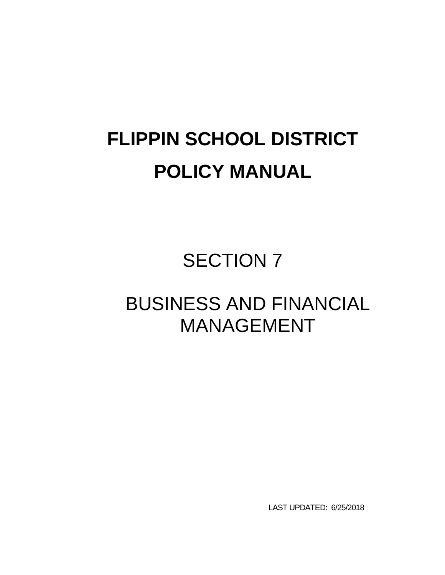# **FLIPPIN SCHOOL DISTRICT POLICY MANUAL**

SECTION 7

# BUSINESS AND FINANCIAL MANAGEMENT

LAST UPDATED: 6/25/2018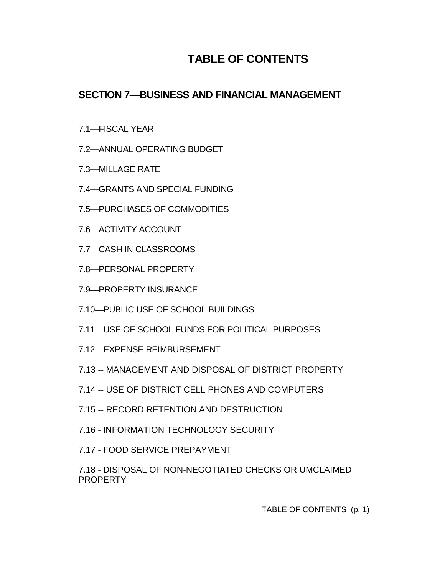# **TABLE OF CONTENTS**

# **SECTION 7—BUSINESS AND FINANCIAL MANAGEMENT**

- 7.1—FISCAL YEAR
- 7.2—ANNUAL OPERATING BUDGET
- 7.3—MILLAGE RATE
- 7.4—GRANTS AND SPECIAL FUNDING
- 7.5—PURCHASES OF COMMODITIES
- 7.6—ACTIVITY ACCOUNT
- 7.7—CASH IN CLASSROOMS
- 7.8—PERSONAL PROPERTY
- 7.9—PROPERTY INSURANCE
- 7.10—PUBLIC USE OF SCHOOL BUILDINGS
- 7.11—USE OF SCHOOL FUNDS FOR POLITICAL PURPOSES
- 7.12—EXPENSE REIMBURSEMENT
- 7.13 -- MANAGEMENT AND DISPOSAL OF DISTRICT PROPERTY
- 7.14 -- USE OF DISTRICT CELL PHONES AND COMPUTERS
- 7.15 -- RECORD RETENTION AND DESTRUCTION
- 7.16 INFORMATION TECHNOLOGY SECURITY
- 7.17 FOOD SERVICE PREPAYMENT

7.18 - DISPOSAL OF NON-NEGOTIATED CHECKS OR UMCLAIMED PROPERTY

TABLE OF CONTENTS (p. 1)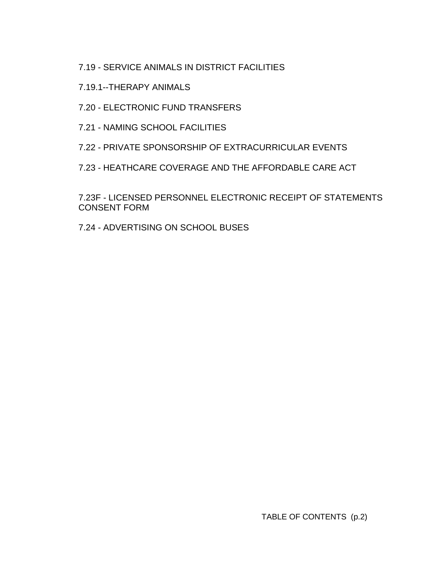7.19 - SERVICE ANIMALS IN DISTRICT FACILITIES

7.19.1--THERAPY ANIMALS

7.20 - ELECTRONIC FUND TRANSFERS

7.21 - NAMING SCHOOL FACILITIES

7.22 - PRIVATE SPONSORSHIP OF EXTRACURRICULAR EVENTS

7.23 - HEATHCARE COVERAGE AND THE AFFORDABLE CARE ACT

7.23F - LICENSED PERSONNEL ELECTRONIC RECEIPT OF STATEMENTS CONSENT FORM

7.24 - ADVERTISING ON SCHOOL BUSES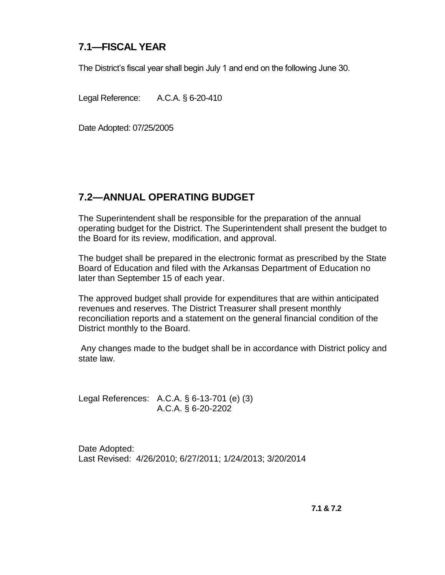### **7.1—FISCAL YEAR**

The District's fiscal year shall begin July 1 and end on the following June 30.

Legal Reference: A.C.A. § 6-20-410

Date Adopted: 07/25/2005

### **7.2—ANNUAL OPERATING BUDGET**

The Superintendent shall be responsible for the preparation of the annual operating budget for the District. The Superintendent shall present the budget to the Board for its review, modification, and approval.

The budget shall be prepared in the electronic format as prescribed by the State Board of Education and filed with the Arkansas Department of Education no later than September 15 of each year.

The approved budget shall provide for expenditures that are within anticipated revenues and reserves. The District Treasurer shall present monthly reconciliation reports and a statement on the general financial condition of the District monthly to the Board.

Any changes made to the budget shall be in accordance with District policy and state law.

Legal References: A.C.A. § 6-13-701 (e) (3) A.C.A. § 6-20-2202

Date Adopted: Last Revised: 4/26/2010; 6/27/2011; 1/24/2013; 3/20/2014

**7.1 & 7.2**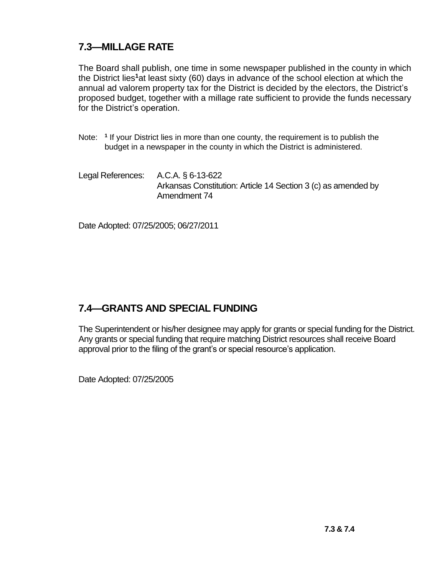### **7.3—MILLAGE RATE**

The Board shall publish, one time in some newspaper published in the county in which the District lies**<sup>1</sup>**at least sixty (60) days in advance of the school election at which the annual ad valorem property tax for the District is decided by the electors, the District's proposed budget, together with a millage rate sufficient to provide the funds necessary for the District's operation.

- Note: <sup>1</sup> If your District lies in more than one county, the requirement is to publish the budget in a newspaper in the county in which the District is administered.
- Legal References: A.C.A. § 6-13-622 Arkansas Constitution: Article 14 Section 3 (c) as amended by Amendment 74

Date Adopted: 07/25/2005; 06/27/2011

# **7.4—GRANTS AND SPECIAL FUNDING**

The Superintendent or his/her designee may apply for grants or special funding for the District. Any grants or special funding that require matching District resources shall receive Board approval prior to the filing of the grant's or special resource's application.

Date Adopted: 07/25/2005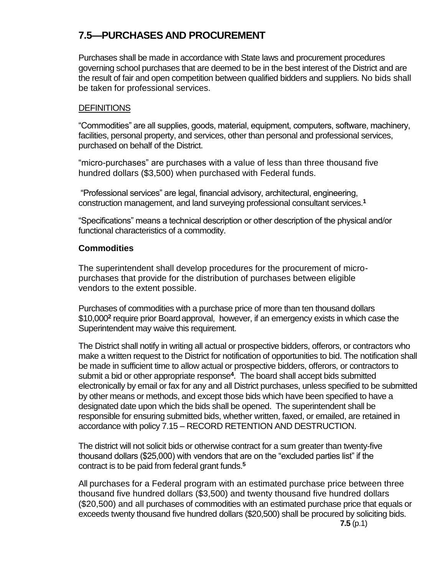# **7.5—PURCHASES AND PROCUREMENT**

Purchases shall be made in accordance with State laws and procurement procedures governing school purchases that are deemed to be in the best interest of the District and are the result of fair and open competition between qualified bidders and suppliers. No bids shall be taken for professional services.

#### **DEFINITIONS**

"Commodities" are all supplies, goods, material, equipment, computers, software, machinery, facilities, personal property, and services, other than personal and professional services, purchased on behalf of the District.

"micro-purchases" are purchases with a value of less than three thousand five hundred dollars (\$3,500) when purchased with Federal funds.

"Professional services" are legal, financial advisory, architectural, engineering, construction management, and land surveying professional consultant services.**<sup>1</sup>**

"Specifications" means a technical description or other description of the physical and/or functional characteristics of a commodity.

#### **Commodities**

The superintendent shall develop procedures for the procurement of micropurchases that provide for the distribution of purchases between eligible vendors to the extent possible.

Purchases of commodities with a purchase price of more than ten thousand dollars \$10,000**<sup>2</sup>** require prior Boardapproval, however, if an emergency exists in which case the Superintendent may waive this requirement.

The District shall notify in writing all actual or prospective bidders, offerors, or contractors who make a written request to the District for notification of opportunities to bid. The notification shall be made in sufficient time to allow actual or prospective bidders, offerors, or contractors to submit a bid or other appropriate response**<sup>4</sup>** . The board shall accept bids submitted electronically by email or fax for any and all District purchases, unless specified to be submitted by other means or methods, and except those bids which have been specified to have a designated date upon which the bids shall be opened. The superintendent shall be responsible for ensuring submitted bids, whether written, faxed, or emailed, are retained in accordance with policy 7.15 – RECORD RETENTION AND DESTRUCTION.

The district will not solicit bids or otherwise contract for a sum greater than twenty-five thousand dollars (\$25,000) with vendors that are on the "excluded parties list" if the contract is to be paid from federal grant funds.**<sup>5</sup>**

All purchases for a Federal program with an estimated purchase price between three thousand five hundred dollars (\$3,500) and twenty thousand five hundred dollars (\$20,500) and all purchases of commodities with an estimated purchase price that equals or exceeds twenty thousand five hundred dollars (\$20,500) shall be procured by soliciting bids. **7.5** (p.1)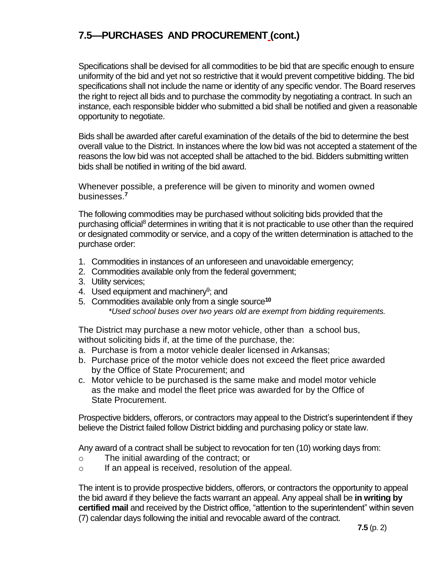Specifications shall be devised for all commodities to be bid that are specific enough to ensure uniformity of the bid and yet not so restrictive that it would prevent competitive bidding. The bid specifications shall not include the name or identity of any specific vendor. The Board reserves the right to reject all bids and to purchase the commodity by negotiating a contract. In such an instance, each responsible bidder who submitted a bid shall be notified and given a reasonable opportunity to negotiate.

Bids shall be awarded after careful examination of the details of the bid to determine the best overall value to the District. In instances where the low bid was not accepted a statement of the reasons the low bid was not accepted shall be attached to the bid. Bidders submitting written bids shall be notified in writing of the bid award.

Whenever possible, a preference will be given to minority and women owned businesses.**<sup>7</sup>**

The following commodities may be purchased without soliciting bids provided that the purchasing official<sup>8</sup> determines in writing that it is not practicable to use other than the required or designated commodity or service, and a copy of the written determination is attached to the purchase order:

- 1. Commodities in instances of an unforeseen and unavoidable emergency;
- 2. Commodities available only from the federal government;
- 3. Utility services;
- 4. Used equipment and machinery<sup>9</sup>; and
- 5. Commodities available only from a single source**<sup>10</sup>** *\*Used school buses over two years old are exempt from bidding requirements.*

The District may purchase a new motor vehicle, other than a school bus, without soliciting bids if, at the time of the purchase, the:

- a. Purchase is from a motor vehicle dealer licensed in Arkansas;
- b. Purchase price of the motor vehicle does not exceed the fleet price awarded by the Office of State Procurement; and
- c. Motor vehicle to be purchased is the same make and model motor vehicle as the make and model the fleet price was awarded for by the Office of State Procurement.

Prospective bidders, offerors, or contractors may appeal to the District's superintendent if they believe the District failed follow District bidding and purchasing policy or state law.

Any award of a contract shall be subject to revocation for ten (10) working days from:

- o The initial awarding of the contract; or
- o If an appeal is received, resolution of the appeal.

The intent is to provide prospective bidders, offerors, or contractors the opportunity to appeal the bid award if they believe the facts warrant an appeal. Any appeal shall be **in writing by certified mail** and received by the District office, "attention to the superintendent" within seven (7) calendar days following the initial and revocable award of the contract.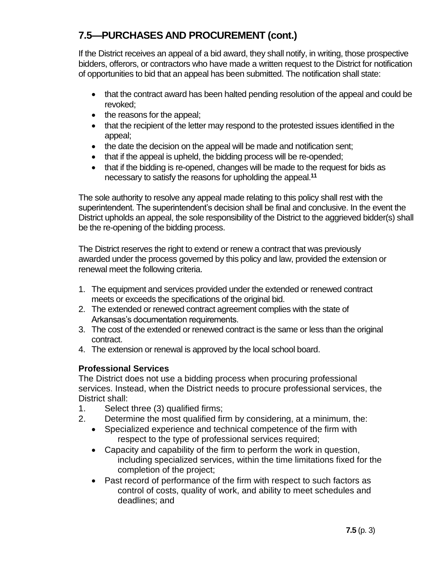If the District receives an appeal of a bid award, they shall notify, in writing, those prospective bidders, offerors, or contractors who have made a written request to the District for notification of opportunities to bid that an appeal has been submitted. The notification shall state:

- that the contract award has been halted pending resolution of the appeal and could be revoked;
- the reasons for the appeal;
- that the recipient of the letter may respond to the protested issues identified in the appeal;
- the date the decision on the appeal will be made and notification sent;
- that if the appeal is upheld, the bidding process will be re-opended;
- that if the bidding is re-opened, changes will be made to the request for bids as necessary to satisfy the reasons for upholding the appeal.**<sup>11</sup>**

The sole authority to resolve any appeal made relating to this policy shall rest with the superintendent. The superintendent's decision shall be final and conclusive. In the event the District upholds an appeal, the sole responsibility of the District to the aggrieved bidder(s) shall be the re-opening of the bidding process.

The District reserves the right to extend or renew a contract that was previously awarded under the process governed by this policy and law, provided the extension or renewal meet the following criteria.

- 1. The equipment and services provided under the extended or renewed contract meets or exceeds the specifications of the original bid.
- 2. The extended or renewed contract agreement complies with the state of Arkansas's documentation requirements.
- 3. The cost of the extended or renewed contract is the same or less than the original contract.
- 4. The extension or renewal is approved by the local school board.

#### **Professional Services**

The District does not use a bidding process when procuring professional services. Instead, when the District needs to procure professional services, the District shall:

- 1. Select three (3) qualified firms;
- 2. Determine the most qualified firm by considering, at a minimum, the:
	- Specialized experience and technical competence of the firm with respect to the type of professional services required;
	- Capacity and capability of the firm to perform the work in question, including specialized services, within the time limitations fixed for the completion of the project;
	- Past record of performance of the firm with respect to such factors as control of costs, quality of work, and ability to meet schedules and deadlines; and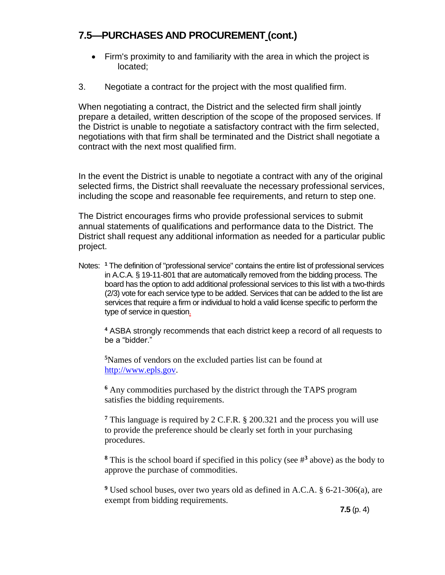- Firm's proximity to and familiarity with the area in which the project is located;
- 3. Negotiate a contract for the project with the most qualified firm.

When negotiating a contract, the District and the selected firm shall jointly prepare a detailed, written description of the scope of the proposed services. If the District is unable to negotiate a satisfactory contract with the firm selected, negotiations with that firm shall be terminated and the District shall negotiate a contract with the next most qualified firm.

In the event the District is unable to negotiate a contract with any of the original selected firms, the District shall reevaluate the necessary professional services, including the scope and reasonable fee requirements, and return to step one.

The District encourages firms who provide professional services to submit annual statements of qualifications and performance data to the District. The District shall request any additional information as needed for a particular public project.

Notes: **<sup>1</sup>** The definition of "professional service" contains the entire list of professional services in A.C.A. § 19-11-801 that are automatically removed from the bidding process. The board has the option to add additional professional services to this list with a two-thirds (2/3) vote for each service type to be added. Services that can be added to the list are services that require a firm or individual to hold a valid license specific to perform the type of service in question.

**<sup>4</sup>** ASBA strongly recommends that each district keep a record of all requests to be a "bidder."

**<sup>5</sup>**Names of vendors on the excluded parties list can be found at [http://www.epls.gov.](http://www.epls.gov/)

**<sup>6</sup>** Any commodities purchased by the district through the TAPS program satisfies the bidding requirements.

**<sup>7</sup>** This language is required by 2 C.F.R. § 200.321 and the process you will use to provide the preference should be clearly set forth in your purchasing procedures.

**<sup>8</sup>** This is the school board if specified in this policy (see #**<sup>3</sup>** above) as the body to approve the purchase of commodities.

**<sup>9</sup>** Used school buses, over two years old as defined in A.C.A. § 6-21-306(a), are exempt from bidding requirements.

**7.5** (p. 4)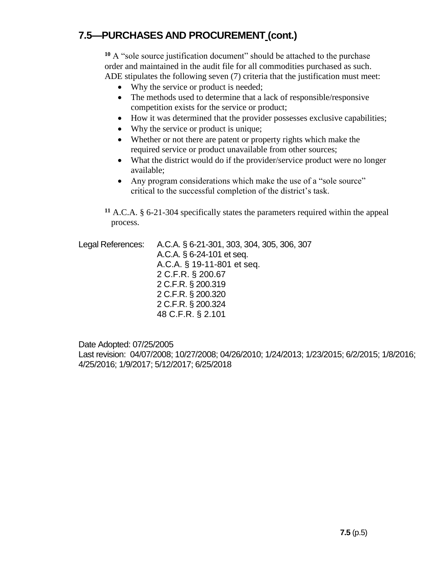**<sup>10</sup>** A "sole source justification document" should be attached to the purchase order and maintained in the audit file for all commodities purchased as such. ADE stipulates the following seven (7) criteria that the justification must meet:

- Why the service or product is needed;
- The methods used to determine that a lack of responsible/responsive competition exists for the service or product;
- How it was determined that the provider possesses exclusive capabilities;
- Why the service or product is unique;
- Whether or not there are patent or property rights which make the required service or product unavailable from other sources;
- What the district would do if the provider/service product were no longer available;
- Any program considerations which make the use of a "sole source" critical to the successful completion of the district's task.

**<sup>11</sup>** A.C.A. § 6-21-304 specifically states the parameters required within the appeal process.

Legal References: A.C.A. § 6-21-301, 303, 304, 305, 306, 307 A.C.A. § 6-24-101 et seq. A.C.A. § 19-11-801 et seq. 2 C.F.R. § 200.67 2 C.F.R. § 200.319 2 C.F.R. § 200.320 2 C.F.R. § 200.324 48 C.F.R. § 2.101

#### Date Adopted: 07/25/2005

Last revision: 04/07/2008; 10/27/2008; 04/26/2010; 1/24/2013; 1/23/2015; 6/2/2015; 1/8/2016; 4/25/2016; 1/9/2017; 5/12/2017; 6/25/2018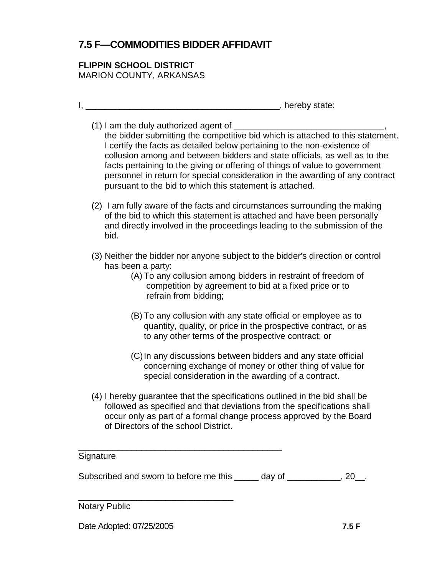# **7.5 F—COMMODITIES BIDDER AFFIDAVIT**

#### **FLIPPIN SCHOOL DISTRICT** MARION COUNTY, ARKANSAS

I, \_\_\_\_\_\_\_\_\_\_\_\_\_\_\_\_\_\_\_\_\_\_\_\_\_\_\_\_\_\_\_\_\_\_\_\_\_\_\_\_, hereby state:

- $(1)$  I am the duly authorized agent of
- the bidder submitting the competitive bid which is attached to this statement. I certify the facts as detailed below pertaining to the non-existence of collusion among and between bidders and state officials, as well as to the facts pertaining to the giving or offering of things of value to government personnel in return for special consideration in the awarding of any contract pursuant to the bid to which this statement is attached.
- (2) I am fully aware of the facts and circumstances surrounding the making of the bid to which this statement is attached and have been personally and directly involved in the proceedings leading to the submission of the bid.
- (3) Neither the bidder nor anyone subject to the bidder's direction or control has been a party:
	- (A) To any collusion among bidders in restraint of freedom of competition by agreement to bid at a fixed price or to refrain from bidding;
	- (B) To any collusion with any state official or employee as to quantity, quality, or price in the prospective contract, or as to any other terms of the prospective contract; or
	- (C)In any discussions between bidders and any state official concerning exchange of money or other thing of value for special consideration in the awarding of a contract.
- (4) I hereby guarantee that the specifications outlined in the bid shall be followed as specified and that deviations from the specifications shall occur only as part of a formal change process approved by the Board of Directors of the school District.

| Signature                              |        |  |
|----------------------------------------|--------|--|
| Subscribed and sworn to before me this | day of |  |
|                                        |        |  |

Notary Public

Date Adopted: 07/25/2005 **7.5 F**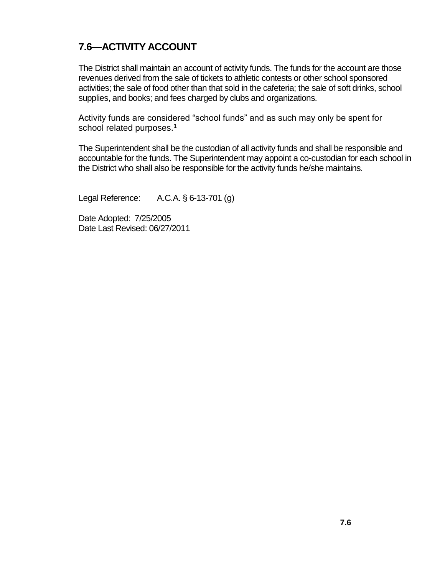# **7.6—ACTIVITY ACCOUNT**

The District shall maintain an account of activity funds. The funds for the account are those revenues derived from the sale of tickets to athletic contests or other school sponsored activities; the sale of food other than that sold in the cafeteria; the sale of soft drinks, school supplies, and books; and fees charged by clubs and organizations.

Activity funds are considered "school funds" and as such may only be spent for school related purposes.**<sup>1</sup>**

The Superintendent shall be the custodian of all activity funds and shall be responsible and accountable for the funds. The Superintendent may appoint a co-custodian for each school in the District who shall also be responsible for the activity funds he/she maintains.

Legal Reference: A.C.A. § 6-13-701 (g)

Date Adopted: 7/25/2005 Date Last Revised: 06/27/2011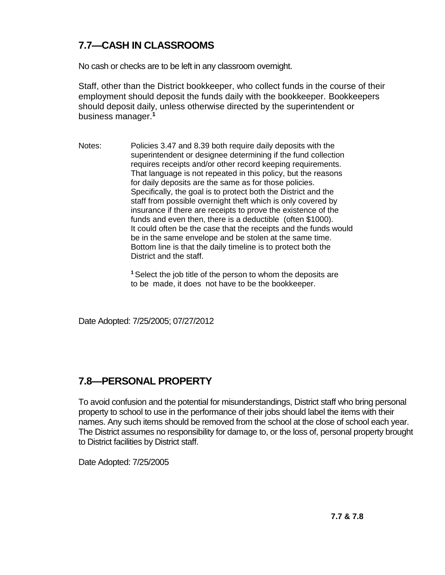# **7.7—CASH IN CLASSROOMS**

No cash or checks are to be left in any classroom overnight.

Staff, other than the District bookkeeper, who collect funds in the course of their employment should deposit the funds daily with the bookkeeper. Bookkeepers should deposit daily, unless otherwise directed by the superintendent or business manager.**<sup>1</sup>**

Notes: Policies 3.47 and 8.39 both require daily deposits with the superintendent or designee determining if the fund collection requires receipts and/or other record keeping requirements. That language is not repeated in this policy, but the reasons for daily deposits are the same as for those policies. Specifically, the goal is to protect both the District and the staff from possible overnight theft which is only covered by insurance if there are receipts to prove the existence of the funds and even then, there is a deductible (often \$1000). It could often be the case that the receipts and the funds would be in the same envelope and be stolen at the same time. Bottom line is that the daily timeline is to protect both the District and the staff.

> **<sup>1</sup>**Select the job title of the person to whom the deposits are to be made, it does not have to be the bookkeeper.

Date Adopted: 7/25/2005; 07/27/2012

### **7.8—PERSONAL PROPERTY**

To avoid confusion and the potential for misunderstandings, District staff who bring personal property to school to use in the performance of their jobs should label the items with their names. Any such items should be removed from the school at the close of school each year. The District assumes no responsibility for damage to, or the loss of, personal property brought to District facilities by District staff.

Date Adopted: 7/25/2005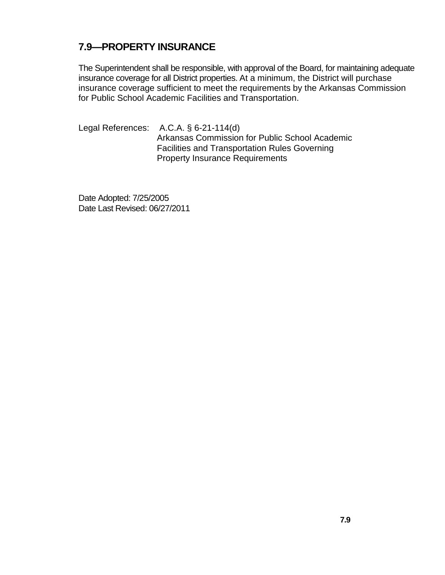### **7.9—PROPERTY INSURANCE**

The Superintendent shall be responsible, with approval of the Board, for maintaining adequate insurance coverage for all District properties. At a minimum, the District will purchase insurance coverage sufficient to meet the requirements by the Arkansas Commission for Public School Academic Facilities and Transportation.

Legal References: A.C.A. § 6-21-114(d) Arkansas Commission for Public School Academic Facilities and Transportation Rules Governing Property Insurance Requirements

Date Adopted: 7/25/2005 Date Last Revised: 06/27/2011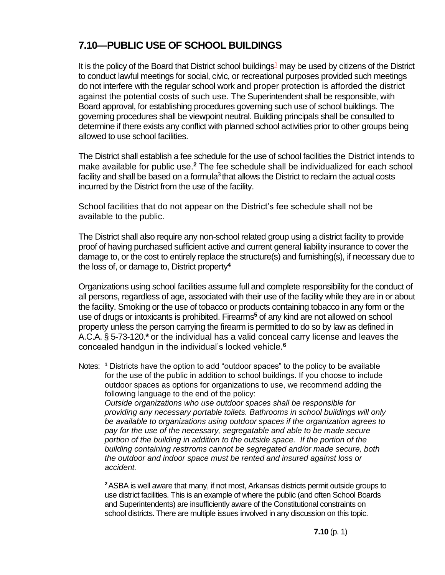# **7.10—PUBLIC USE OF SCHOOL BUILDINGS**

It is the policy of the Board that District school buildings $1$  may be used by citizens of the District to conduct lawful meetings for social, civic, or recreational purposes provided such meetings do not interfere with the regular school work and proper protection is afforded the district against the potential costs of such use. The Superintendent shall be responsible, with Board approval, for establishing procedures governing such use of school buildings. The governing procedures shall be viewpoint neutral. Building principals shall be consulted to determine if there exists any conflict with planned school activities prior to other groups being allowed to use school facilities.

The District shall establish a fee schedule for the use of school facilities the District intends to make available for public use.**<sup>2</sup>** The fee schedule shall be individualized for each school facility and shall be based on a formula $3$  that allows the District to reclaim the actual costs incurred by the District from the use of the facility.

School facilities that do not appear on the District's fee schedule shall not be available to the public.

The District shall also require any non-school related group using a district facility to provide proof of having purchased sufficient active and current general liability insurance to cover the damage to, or the cost to entirely replace the structure(s) and furnishing(s), if necessary due to the loss of, or damage to, District property**<sup>4</sup>**

Organizations using school facilities assume full and complete responsibility for the conduct of all persons, regardless of age, associated with their use of the facility while they are in or about the facility. Smoking or the use of tobacco or products containing tobacco in any form or the use of drugs or intoxicants is prohibited. Firearms**<sup>5</sup>** of any kind are not allowed on school property unless the person carrying the firearm is permitted to do so by law as defined in A.C.A. § 5-73-120.**\*** or the individual has a valid conceal carry license and leaves the concealed handgun in the individual's locked vehicle.**<sup>6</sup>**

Notes: **<sup>1</sup>** Districts have the option to add "outdoor spaces" to the policy to be available for the use of the public in addition to school buildings. If you choose to include outdoor spaces as options for organizations to use, we recommend adding the following language to the end of the policy: *Outside organizations who use outdoor spaces shall be responsible for providing any necessary portable toilets. Bathrooms in school buildings will only be available to organizations using outdoor spaces if the organization agrees to pay for the use of the necessary, segregatable and able to be made secure portion of the building in addition to the outside space. If the portion of the building containing restrroms cannot be segregated and/or made secure, both the outdoor and indoor space must be rented and insured against loss or accident.*

**<sup>2</sup>**ASBA is well aware that many, if not most, Arkansas districts permit outside groups to use district facilities. This is an example of where the public (and often School Boards and Superintendents) are insufficiently aware of the Constitutional constraints on school districts. There are multiple issues involved in any discussion on this topic.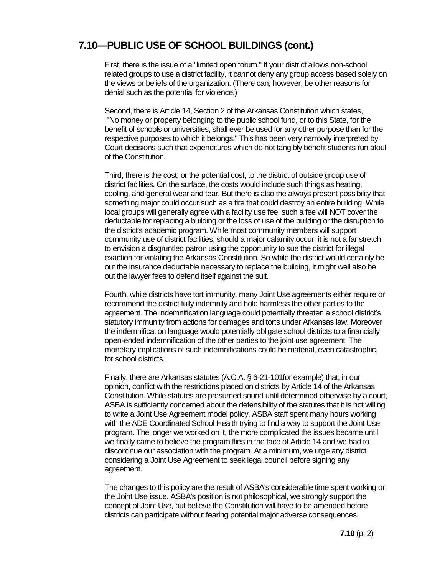### **7.10—PUBLIC USE OF SCHOOL BUILDINGS (cont.)**

First, there is the issue of a "limited open forum." If your district allows non-school related groups to use a district facility, it cannot deny any group access based solely on the views or beliefs of the organization. (There can, however, be other reasons for denial such as the potential for violence.)

Second, there is Article 14, Section 2 of the Arkansas Constitution which states, "No money or property belonging to the public school fund, or to this State, for the benefit of schools or universities, shall ever be used for any other purpose than for the respective purposes to which it belongs." This has been very narrowly interpreted by Court decisions such that expenditures which do not tangibly benefit students run afoul of the Constitution.

Third, there is the cost, or the potential cost, to the district of outside group use of district facilities. On the surface, the costs would include such things as heating, cooling, and general wear and tear. But there is also the always present possibility that something major could occur such as a fire that could destroy an entire building. While local groups will generally agree with a facility use fee, such a fee will NOT cover the deductable for replacing a building or the loss of use of the building or the disruption to the district's academic program. While most community members will support community use of district facilities, should a major calamity occur, it is not a far stretch to envision a disgruntled patron using the opportunity to sue the district for illegal exaction for violating the Arkansas Constitution. So while the district would certainly be out the insurance deductable necessary to replace the building, it might well also be out the lawyer fees to defend itself against the suit.

Fourth, while districts have tort immunity, many Joint Use agreements either require or recommend the district fully indemnify and hold harmless the other parties to the agreement. The indemnification language could potentially threaten a school district's statutory immunity from actions for damages and torts under Arkansas law. Moreover the indemnification language would potentially obligate school districts to a financially open-ended indemnification of the other parties to the joint use agreement. The monetary implications of such indemnifications could be material, even catastrophic, for school districts.

Finally, there are Arkansas statutes (A.C.A. § 6-21-101for example) that, in our opinion, conflict with the restrictions placed on districts by Article 14 of the Arkansas Constitution. While statutes are presumed sound until determined otherwise by a court, ASBA is sufficiently concerned about the defensibility of the statutes that it is not willing to write a Joint Use Agreement model policy. ASBA staff spent many hours working with the ADE Coordinated School Health trying to find a way to support the Joint Use program. The longer we worked on it, the more complicated the issues became until we finally came to believe the program flies in the face of Article 14 and we had to discontinue our association with the program. At a minimum, we urge any district considering a Joint Use Agreement to seek legal council before signing any agreement.

The changes to this policy are the result of ASBA's considerable time spent working on the Joint Use issue. ASBA's position is not philosophical, we strongly support the concept of Joint Use, but believe the Constitution will have to be amended before districts can participate without fearing potential major adverse consequences.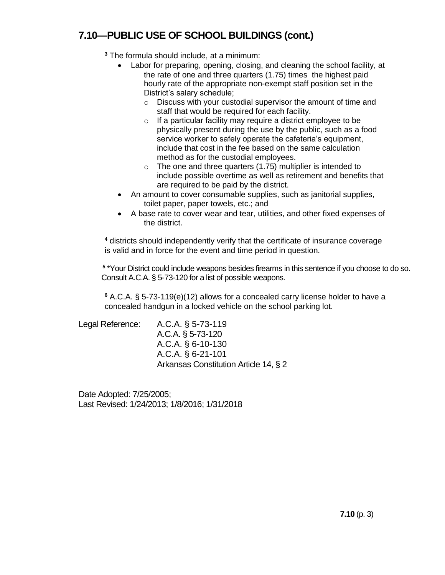# **7.10—PUBLIC USE OF SCHOOL BUILDINGS (cont.)**

- **<sup>3</sup>** The formula should include, at a minimum:
	- Labor for preparing, opening, closing, and cleaning the school facility, at the rate of one and three quarters (1.75) times the highest paid hourly rate of the appropriate non-exempt staff position set in the District's salary schedule;
		- o Discuss with your custodial supervisor the amount of time and staff that would be required for each facility.
		- $\circ$  If a particular facility may require a district employee to be physically present during the use by the public, such as a food service worker to safely operate the cafeteria's equipment, include that cost in the fee based on the same calculation method as for the custodial employees.
		- $\circ$  The one and three quarters (1.75) multiplier is intended to include possible overtime as well as retirement and benefits that are required to be paid by the district.
	- An amount to cover consumable supplies, such as janitorial supplies, toilet paper, paper towels, etc.; and
	- A base rate to cover wear and tear, utilities, and other fixed expenses of the district.

**<sup>4</sup>** districts should independently verify that the certificate of insurance coverage is valid and in force for the event and time period in question.

<sup>5</sup> \*Your District could include weapons besides firearms in this sentence if you choose to do so. Consult A.C.A. § 5-73-120 for a list of possible weapons.

**<sup>6</sup>** A.C.A. § 5-73-119(e)(12) allows for a concealed carry license holder to have a concealed handgun in a locked vehicle on the school parking lot.

Legal Reference: A.C.A. § 5-73-119 A.C.A. § 5-73-120 A.C.A. § 6-10-130 A.C.A. § 6-21-101 Arkansas Constitution Article 14, § 2

Date Adopted: 7/25/2005; Last Revised: 1/24/2013; 1/8/2016; 1/31/2018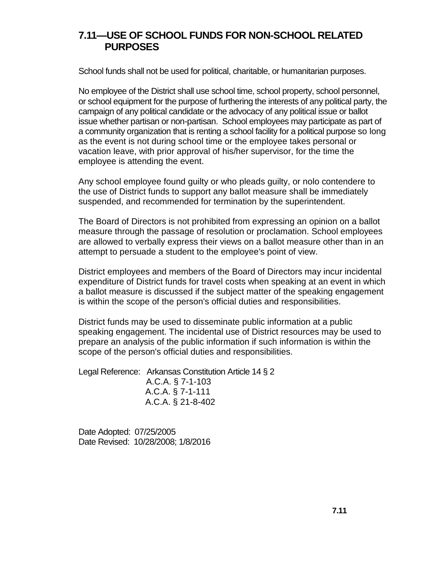### **7.11—USE OF SCHOOL FUNDS FOR NON-SCHOOL RELATED PURPOSES**

School funds shall not be used for political, charitable, or humanitarian purposes.

No employee of the District shall use school time, school property, school personnel, or school equipment for the purpose of furthering the interests of any political party, the campaign of any political candidate or the advocacy of any political issue or ballot issue whether partisan or non-partisan. School employees may participate as part of a community organization that is renting a school facility for a political purpose so long as the event is not during school time or the employee takes personal or vacation leave, with prior approval of his/her supervisor, for the time the employee is attending the event.

Any school employee found guilty or who pleads guilty, or nolo contendere to the use of District funds to support any ballot measure shall be immediately suspended, and recommended for termination by the superintendent.

The Board of Directors is not prohibited from expressing an opinion on a ballot measure through the passage of resolution or proclamation. School employees are allowed to verbally express their views on a ballot measure other than in an attempt to persuade a student to the employee's point of view.

District employees and members of the Board of Directors may incur incidental expenditure of District funds for travel costs when speaking at an event in which a ballot measure is discussed if the subject matter of the speaking engagement is within the scope of the person's official duties and responsibilities.

District funds may be used to disseminate public information at a public speaking engagement. The incidental use of District resources may be used to prepare an analysis of the public information if such information is within the scope of the person's official duties and responsibilities.

Legal Reference: Arkansas Constitution Article 14 § 2 A.C.A. § 7-1-103 A.C.A. § 7-1-111 A.C.A. § 21-8-402

Date Adopted: 07/25/2005 Date Revised: 10/28/2008; 1/8/2016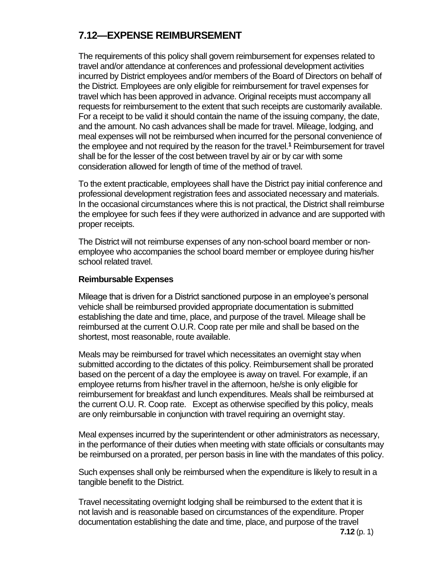### **7.12—EXPENSE REIMBURSEMENT**

The requirements of this policy shall govern reimbursement for expenses related to travel and/or attendance at conferences and professional development activities incurred by District employees and/or members of the Board of Directors on behalf of the District. Employees are only eligible for reimbursement for travel expenses for travel which has been approved in advance. Original receipts must accompany all requests for reimbursement to the extent that such receipts are customarily available. For a receipt to be valid it should contain the name of the issuing company, the date, and the amount. No cash advances shall be made for travel. Mileage, lodging, and meal expenses will not be reimbursed when incurred for the personal convenience of the employee and not required by the reason for the travel.**<sup>1</sup>** Reimbursement for travel shall be for the lesser of the cost between travel by air or by car with some consideration allowed for length of time of the method of travel.

To the extent practicable, employees shall have the District pay initial conference and professional development registration fees and associated necessary and materials. In the occasional circumstances where this is not practical, the District shall reimburse the employee for such fees if they were authorized in advance and are supported with proper receipts.

The District will not reimburse expenses of any non-school board member or nonemployee who accompanies the school board member or employee during his/her school related travel.

#### **Reimbursable Expenses**

Mileage that is driven for a District sanctioned purpose in an employee's personal vehicle shall be reimbursed provided appropriate documentation is submitted establishing the date and time, place, and purpose of the travel. Mileage shall be reimbursed at the current O.U.R. Coop rate per mile and shall be based on the shortest, most reasonable, route available.

Meals may be reimbursed for travel which necessitates an overnight stay when submitted according to the dictates of this policy. Reimbursement shall be prorated based on the percent of a day the employee is away on travel. For example, if an employee returns from his/her travel in the afternoon, he/she is only eligible for reimbursement for breakfast and lunch expenditures. Meals shall be reimbursed at the current O.U. R. Coop rate. Except as otherwise specified by this policy, meals are only reimbursable in conjunction with travel requiring an overnight stay.

Meal expenses incurred by the superintendent or other administrators as necessary, in the performance of their duties when meeting with state officials or consultants may be reimbursed on a prorated, per person basis in line with the mandates of this policy.

Such expenses shall only be reimbursed when the expenditure is likely to result in a tangible benefit to the District.

Travel necessitating overnight lodging shall be reimbursed to the extent that it is not lavish and is reasonable based on circumstances of the expenditure. Proper documentation establishing the date and time, place, and purpose of the travel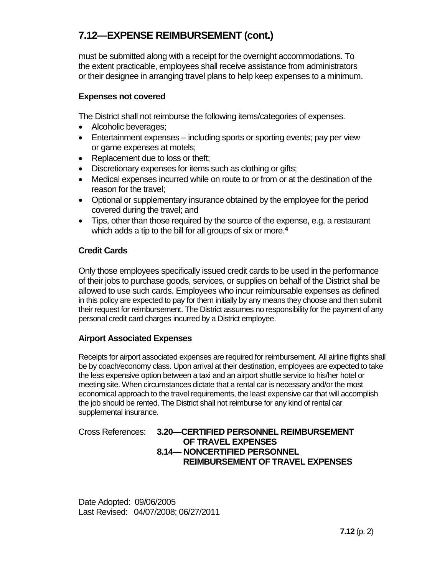### **7.12—EXPENSE REIMBURSEMENT (cont.)**

must be submitted along with a receipt for the overnight accommodations. To the extent practicable, employees shall receive assistance from administrators or their designee in arranging travel plans to help keep expenses to a minimum.

#### **Expenses not covered**

The District shall not reimburse the following items/categories of expenses.

- Alcoholic beverages;
- Entertainment expenses including sports or sporting events; pay per view or game expenses at motels;
- Replacement due to loss or theft;
- Discretionary expenses for items such as clothing or gifts;
- Medical expenses incurred while on route to or from or at the destination of the reason for the travel;
- Optional or supplementary insurance obtained by the employee for the period covered during the travel; and
- Tips, other than those required by the source of the expense, e.g. a restaurant which adds a tip to the bill for all groups of six or more.**<sup>4</sup>**

#### **Credit Cards**

Only those employees specifically issued credit cards to be used in the performance of their jobs to purchase goods, services, or supplies on behalf of the District shall be allowed to use such cards. Employees who incur reimbursable expenses as defined in this policy are expected to pay for them initially by any means they choose and then submit their request for reimbursement. The District assumes no responsibility for the payment of any personal credit card charges incurred by a District employee.

#### **Airport Associated Expenses**

Receipts for airport associated expenses are required for reimbursement. All airline flights shall be by coach/economy class. Upon arrival at their destination, employees are expected to take the less expensive option between a taxi and an airport shuttle service to his/her hotel or meeting site. When circumstances dictate that a rental car is necessary and/or the most economical approach to the travel requirements, the least expensive car that will accomplish the job should be rented. The District shall not reimburse for any kind of rental car supplemental insurance.

#### Cross References: **3.20—CERTIFIED PERSONNEL REIMBURSEMENT OF TRAVEL EXPENSES 8.14— NONCERTIFIED PERSONNEL REIMBURSEMENT OF TRAVEL EXPENSES**

Date Adopted: 09/06/2005 Last Revised: 04/07/2008; 06/27/2011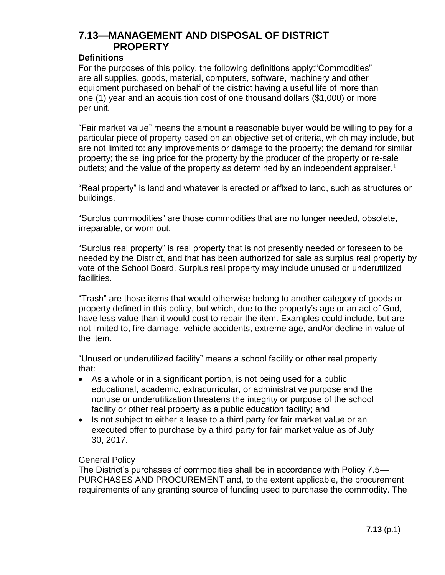#### **Definitions**

For the purposes of this policy, the following definitions apply:"Commodities" are all supplies, goods, material, computers, software, machinery and other equipment purchased on behalf of the district having a useful life of more than one (1) year and an acquisition cost of one thousand dollars (\$1,000) or more per unit.

"Fair market value" means the amount a reasonable buyer would be willing to pay for a particular piece of property based on an objective set of criteria, which may include, but are not limited to: any improvements or damage to the property; the demand for similar property; the selling price for the property by the producer of the property or re-sale outlets; and the value of the property as determined by an independent appraiser.<sup>1</sup>

"Real property" is land and whatever is erected or affixed to land, such as structures or buildings.

"Surplus commodities" are those commodities that are no longer needed, obsolete, irreparable, or worn out.

"Surplus real property" is real property that is not presently needed or foreseen to be needed by the District, and that has been authorized for sale as surplus real property by vote of the School Board. Surplus real property may include unused or underutilized facilities.

"Trash" are those items that would otherwise belong to another category of goods or property defined in this policy, but which, due to the property's age or an act of God, have less value than it would cost to repair the item. Examples could include, but are not limited to, fire damage, vehicle accidents, extreme age, and/or decline in value of the item.

"Unused or underutilized facility" means a school facility or other real property that:

- As a whole or in a significant portion, is not being used for a public educational, academic, extracurricular, or administrative purpose and the nonuse or underutilization threatens the integrity or purpose of the school facility or other real property as a public education facility; and
- Is not subject to either a lease to a third party for fair market value or an executed offer to purchase by a third party for fair market value as of July 30, 2017.

#### General Policy

The District's purchases of commodities shall be in accordance with Policy 7.5— PURCHASES AND PROCUREMENT and, to the extent applicable, the procurement requirements of any granting source of funding used to purchase the commodity. The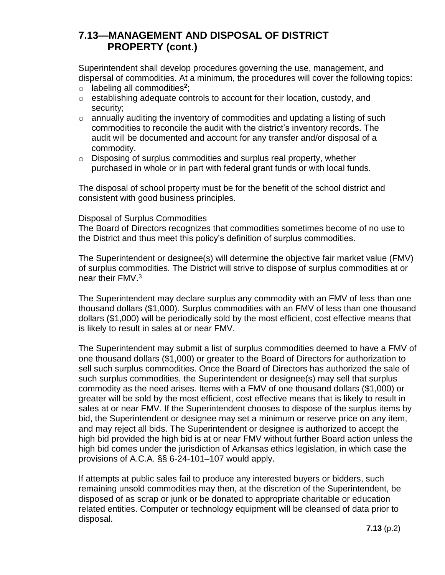Superintendent shall develop procedures governing the use, management, and dispersal of commodities. At a minimum, the procedures will cover the following topics:

- o labeling all commodities**<sup>2</sup>** ;
- $\circ$  establishing adequate controls to account for their location, custody, and security;
- $\circ$  annually auditing the inventory of commodities and updating a listing of such commodities to reconcile the audit with the district's inventory records. The audit will be documented and account for any transfer and/or disposal of a commodity.
- o Disposing of surplus commodities and surplus real property, whether purchased in whole or in part with federal grant funds or with local funds.

The disposal of school property must be for the benefit of the school district and consistent with good business principles.

#### Disposal of Surplus Commodities

The Board of Directors recognizes that commodities sometimes become of no use to the District and thus meet this policy's definition of surplus commodities.

The Superintendent or designee(s) will determine the objective fair market value (FMV) of surplus commodities. The District will strive to dispose of surplus commodities at or near their FMV.<sup>3</sup>

The Superintendent may declare surplus any commodity with an FMV of less than one thousand dollars (\$1,000). Surplus commodities with an FMV of less than one thousand dollars (\$1,000) will be periodically sold by the most efficient, cost effective means that is likely to result in sales at or near FMV.

The Superintendent may submit a list of surplus commodities deemed to have a FMV of one thousand dollars (\$1,000) or greater to the Board of Directors for authorization to sell such surplus commodities. Once the Board of Directors has authorized the sale of such surplus commodities, the Superintendent or designee(s) may sell that surplus commodity as the need arises. Items with a FMV of one thousand dollars (\$1,000) or greater will be sold by the most efficient, cost effective means that is likely to result in sales at or near FMV. If the Superintendent chooses to dispose of the surplus items by bid, the Superintendent or designee may set a minimum or reserve price on any item, and may reject all bids. The Superintendent or designee is authorized to accept the high bid provided the high bid is at or near FMV without further Board action unless the high bid comes under the jurisdiction of Arkansas ethics legislation, in which case the provisions of A.C.A. §§ 6-24-101–107 would apply.

If attempts at public sales fail to produce any interested buyers or bidders, such remaining unsold commodities may then, at the discretion of the Superintendent, be disposed of as scrap or junk or be donated to appropriate charitable or education related entities. Computer or technology equipment will be cleansed of data prior to disposal.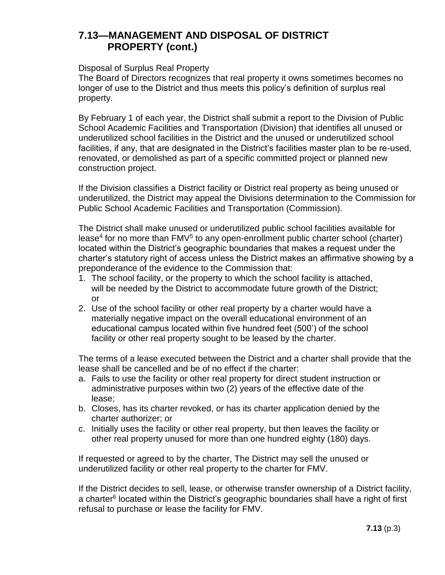#### Disposal of Surplus Real Property

The Board of Directors recognizes that real property it owns sometimes becomes no longer of use to the District and thus meets this policy's definition of surplus real property.

By February 1 of each year, the District shall submit a report to the Division of Public School Academic Facilities and Transportation (Division) that identifies all unused or underutilized school facilities in the District and the unused or underutilized school facilities, if any, that are designated in the District's facilities master plan to be re-used, renovated, or demolished as part of a specific committed project or planned new construction project.

If the Division classifies a District facility or District real property as being unused or underutilized, the District may appeal the Divisions determination to the Commission for Public School Academic Facilities and Transportation (Commission).

The District shall make unused or underutilized public school facilities available for lease<sup>4</sup> for no more than FMV<sup>5</sup> to any open-enrollment public charter school (charter) located within the District's geographic boundaries that makes a request under the charter's statutory right of access unless the District makes an affirmative showing by a preponderance of the evidence to the Commission that:

- 1. The school facility, or the property to which the school facility is attached, will be needed by the District to accommodate future growth of the District; or
- 2. Use of the school facility or other real property by a charter would have a materially negative impact on the overall educational environment of an educational campus located within five hundred feet (500') of the school facility or other real property sought to be leased by the charter.

The terms of a lease executed between the District and a charter shall provide that the lease shall be cancelled and be of no effect if the charter:

- a. Fails to use the facility or other real property for direct student instruction or administrative purposes within two (2) years of the effective date of the lease;
- b. Closes, has its charter revoked, or has its charter application denied by the charter authorizer; or
- c. Initially uses the facility or other real property, but then leaves the facility or other real property unused for more than one hundred eighty (180) days.

If requested or agreed to by the charter, The District may sell the unused or underutilized facility or other real property to the charter for FMV.

If the District decides to sell, lease, or otherwise transfer ownership of a District facility, a charter<sup>6</sup> located within the District's geographic boundaries shall have a right of first refusal to purchase or lease the facility for FMV.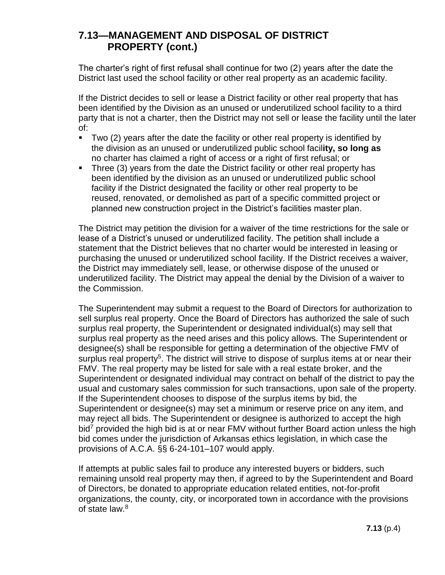The charter's right of first refusal shall continue for two (2) years after the date the District last used the school facility or other real property as an academic facility.

If the District decides to sell or lease a District facility or other real property that has been identified by the Division as an unused or underutilized school facility to a third party that is not a charter, then the District may not sell or lease the facility until the later of:

- Two (2) years after the date the facility or other real property is identified by the division as an unused or underutilized public school facil**ity, so long as**  no charter has claimed a right of access or a right of first refusal; or
- Three (3) years from the date the District facility or other real property has been identified by the division as an unused or underutilized public school facility if the District designated the facility or other real property to be reused, renovated, or demolished as part of a specific committed project or planned new construction project in the District's facilities master plan.

The District may petition the division for a waiver of the time restrictions for the sale or lease of a District's unused or underutilized facility. The petition shall include a statement that the District believes that no charter would be interested in leasing or purchasing the unused or underutilized school facility. If the District receives a waiver, the District may immediately sell, lease, or otherwise dispose of the unused or underutilized facility. The District may appeal the denial by the Division of a waiver to the Commission.

The Superintendent may submit a request to the Board of Directors for authorization to sell surplus real property. Once the Board of Directors has authorized the sale of such surplus real property, the Superintendent or designated individual(s) may sell that surplus real property as the need arises and this policy allows. The Superintendent or designee(s) shall be responsible for getting a determination of the objective FMV of surplus real property<sup>5</sup>. The district will strive to dispose of surplus items at or near their FMV. The real property may be listed for sale with a real estate broker, and the Superintendent or designated individual may contract on behalf of the district to pay the usual and customary sales commission for such transactions, upon sale of the property. If the Superintendent chooses to dispose of the surplus items by bid, the Superintendent or designee(s) may set a minimum or reserve price on any item, and may reject all bids. The Superintendent or designee is authorized to accept the high bid<sup>7</sup> provided the high bid is at or near FMV without further Board action unless the high bid comes under the jurisdiction of Arkansas ethics legislation, in which case the provisions of A.C.A. §§ 6-24-101–107 would apply.

If attempts at public sales fail to produce any interested buyers or bidders, such remaining unsold real property may then, if agreed to by the Superintendent and Board of Directors, be donated to appropriate education related entities, not-for-profit organizations, the county, city, or incorporated town in accordance with the provisions of state law.<sup>8</sup>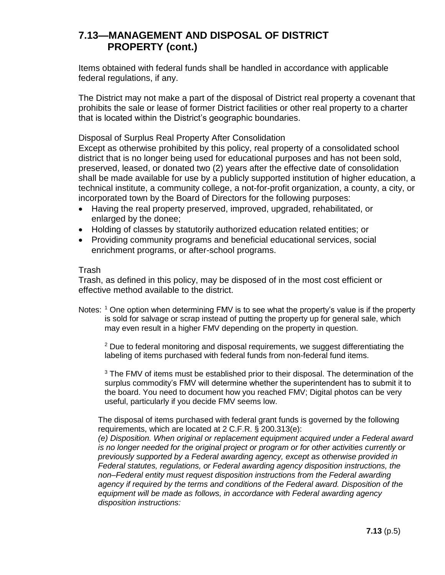Items obtained with federal funds shall be handled in accordance with applicable federal regulations, if any.

The District may not make a part of the disposal of District real property a covenant that prohibits the sale or lease of former District facilities or other real property to a charter that is located within the District's geographic boundaries.

Disposal of Surplus Real Property After Consolidation

Except as otherwise prohibited by this policy, real property of a consolidated school district that is no longer being used for educational purposes and has not been sold, preserved, leased, or donated two (2) years after the effective date of consolidation shall be made available for use by a publicly supported institution of higher education, a technical institute, a community college, a not-for-profit organization, a county, a city, or incorporated town by the Board of Directors for the following purposes:

- Having the real property preserved, improved, upgraded, rehabilitated, or enlarged by the donee;
- Holding of classes by statutorily authorized education related entities; or
- Providing community programs and beneficial educational services, social enrichment programs, or after-school programs.

#### Trash

Trash, as defined in this policy, may be disposed of in the most cost efficient or effective method available to the district.

Notes: <sup>1</sup> One option when determining FMV is to see what the property's value is if the property is sold for salvage or scrap instead of putting the property up for general sale, which may even result in a higher FMV depending on the property in question.

<sup>2</sup> Due to federal monitoring and disposal requirements, we suggest differentiating the labeling of items purchased with federal funds from non-federal fund items.

<sup>3</sup> The FMV of items must be established prior to their disposal. The determination of the surplus commodity's FMV will determine whether the superintendent has to submit it to the board. You need to document how you reached FMV; Digital photos can be very useful, particularly if you decide FMV seems low.

The disposal of items purchased with federal grant funds is governed by the following requirements, which are located at 2 C.F.R. § 200.313(e):

*(e) Disposition. When original or replacement equipment acquired under a Federal award is no longer needed for the original project or program or for other activities currently or previously supported by a Federal awarding agency, except as otherwise provided in Federal statutes, regulations, or Federal awarding agency disposition instructions, the non–Federal entity must request disposition instructions from the Federal awarding agency if required by the terms and conditions of the Federal award. Disposition of the equipment will be made as follows, in accordance with Federal awarding agency disposition instructions:*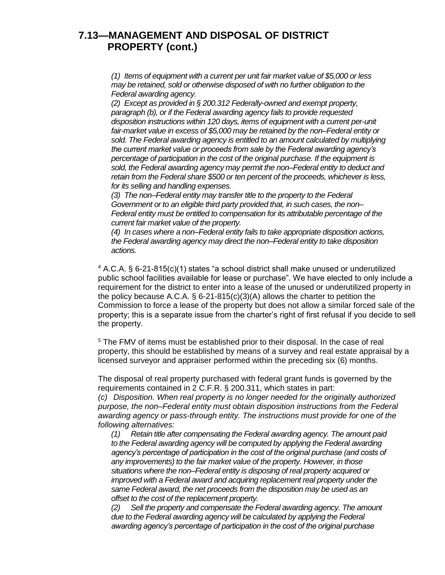*(1) Items of equipment with a current per unit fair market value of \$5,000 or less may be retained, sold or otherwise disposed of with no further obligation to the Federal awarding agency.*

*(2) Except as provided in § 200.312 Federally-owned and exempt property, paragraph (b), or if the Federal awarding agency fails to provide requested disposition instructions within 120 days, items of equipment with a current per-unit fair-market value in excess of \$5,000 may be retained by the non–Federal entity or sold. The Federal awarding agency is entitled to an amount calculated by multiplying the current market value or proceeds from sale by the Federal awarding agency's percentage of participation in the cost of the original purchase. If the equipment is sold, the Federal awarding agency may permit the non–Federal entity to deduct and retain from the Federal share \$500 or ten percent of the proceeds, whichever is less, for its selling and handling expenses.*

*(3) The non–Federal entity may transfer title to the property to the Federal Government or to an eligible third party provided that, in such cases, the non– Federal entity must be entitled to compensation for its attributable percentage of the current fair market value of the property.*

*(4) In cases where a non–Federal entity fails to take appropriate disposition actions, the Federal awarding agency may direct the non–Federal entity to take disposition actions.*

<sup>4</sup> A.C.A. § 6-21-815(c)(1) states "a school district shall make unused or underutilized public school facilities available for lease or purchase". We have elected to only include a requirement for the district to enter into a lease of the unused or underutilized property in the policy because A.C.A.  $\S$  6-21-815(c)(3)(A) allows the charter to petition the Commission to force a lease of the property but does not allow a similar forced sale of the property; this is a separate issue from the charter's right of first refusal if you decide to sell the property.

<sup>5</sup> The FMV of items must be established prior to their disposal. In the case of real property, this should be established by means of a survey and real estate appraisal by a licensed surveyor and appraiser performed within the preceding six (6) months.

The disposal of real property purchased with federal grant funds is governed by the requirements contained in 2 C.F.R. § 200.311, which states in part:

*(c) Disposition. When real property is no longer needed for the originally authorized purpose, the non–Federal entity must obtain disposition instructions from the Federal awarding agency or pass-through entity. The instructions must provide for one of the following alternatives:*

*(1) Retain title after compensating the Federal awarding agency. The amount paid to the Federal awarding agency will be computed by applying the Federal awarding agency's percentage of participation in the cost of the original purchase (and costs of any improvements) to the fair market value of the property. However, in those situations where the non–Federal entity is disposing of real property acquired or improved with a Federal award and acquiring replacement real property under the same Federal award, the net proceeds from the disposition may be used as an offset to the cost of the replacement property.*

*(2) Sell the property and compensate the Federal awarding agency. The amount due to the Federal awarding agency will be calculated by applying the Federal awarding agency's percentage of participation in the cost of the original purchase*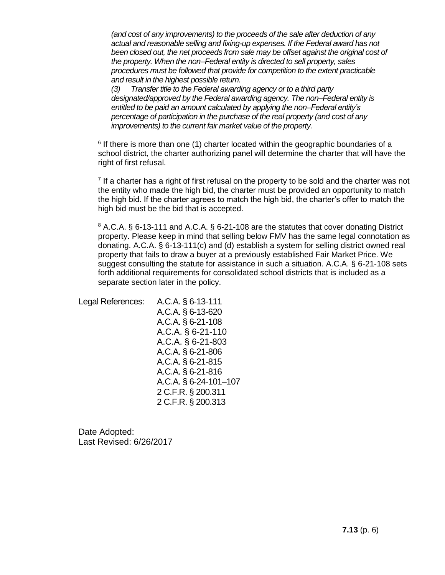*(and cost of any improvements) to the proceeds of the sale after deduction of any actual and reasonable selling and fixing-up expenses. If the Federal award has not been closed out, the net proceeds from sale may be offset against the original cost of the property. When the non–Federal entity is directed to sell property, sales procedures must be followed that provide for competition to the extent practicable and result in the highest possible return.*

*(3) Transfer title to the Federal awarding agency or to a third party designated/approved by the Federal awarding agency. The non–Federal entity is entitled to be paid an amount calculated by applying the non–Federal entity's percentage of participation in the purchase of the real property (and cost of any improvements) to the current fair market value of the property.*

<sup>6</sup> If there is more than one (1) charter located within the geographic boundaries of a school district, the charter authorizing panel will determine the charter that will have the right of first refusal.

 $<sup>7</sup>$  If a charter has a right of first refusal on the property to be sold and the charter was not</sup> the entity who made the high bid, the charter must be provided an opportunity to match the high bid. If the charter agrees to match the high bid, the charter's offer to match the high bid must be the bid that is accepted.

<sup>8</sup> A.C.A. § 6-13-111 and A.C.A. § 6-21-108 are the statutes that cover donating District property. Please keep in mind that selling below FMV has the same legal connotation as donating. A.C.A. § 6-13-111(c) and (d) establish a system for selling district owned real property that fails to draw a buyer at a previously established Fair Market Price. We suggest consulting the statute for assistance in such a situation. A.C.A. § 6-21-108 sets forth additional requirements for consolidated school districts that is included as a separate section later in the policy.

Legal References: A.C.A. § 6-13-111 A.C.A. § 6-13-620 A.C.A. § 6-21-108 A.C.A. § 6-21-110 A.C.A. § 6-21-803 A.C.A. § 6-21-806 A.C.A. § 6-21-815 A.C.A. § 6-21-816 A.C.A. § 6-24-101–107 2 C.F.R. § 200.311 2 C.F.R. § 200.313

Date Adopted: Last Revised: 6/26/2017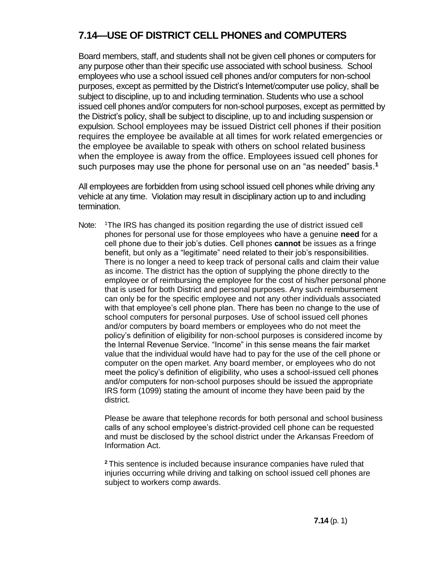# **7.14—USE OF DISTRICT CELL PHONES and COMPUTERS**

Board members, staff, and students shall not be given cell phones or computers for any purpose other than their specific use associated with school business. School employees who use a school issued cell phones and/or computers for non-school purposes, except as permitted by the District's Internet/computer use policy, shall be subject to discipline, up to and including termination. Students who use a school issued cell phones and/or computers for non-school purposes, except as permitted by the District's policy, shall be subject to discipline, up to and including suspension or expulsion. School employees may be issued District cell phones if their position requires the employee be available at all times for work related emergencies or the employee be available to speak with others on school related business when the employee is away from the office. Employees issued cell phones for such purposes may use the phone for personal use on an "as needed" basis.**<sup>1</sup>**

All employees are forbidden from using school issued cell phones while driving any vehicle at any time. Violation may result in disciplinary action up to and including termination.

Note: <sup>1</sup>The IRS has changed its position regarding the use of district issued cell phones for personal use for those employees who have a genuine **need** for a cell phone due to their job's duties. Cell phones **cannot** be issues as a fringe benefit, but only as a "legitimate" need related to their job's responsibilities. There is no longer a need to keep track of personal calls and claim their value as income. The district has the option of supplying the phone directly to the employee or of reimbursing the employee for the cost of his/her personal phone that is used for both District and personal purposes. Any such reimbursement can only be for the specific employee and not any other individuals associated with that employee's cell phone plan. There has been no change to the use of school computers for personal purposes. Use of school issued cell phones and/or computers by board members or employees who do not meet the policy's definition of eligibility for non-school purposes is considered income by the Internal Revenue Service. "Income" in this sense means the fair market value that the individual would have had to pay for the use of the cell phone or computer on the open market. Any board member, or employees who do not meet the policy's definition of eligibility, who uses a school-issued cell phones and/or computers for non-school purposes should be issued the appropriate IRS form (1099) stating the amount of income they have been paid by the district.

Please be aware that telephone records for both personal and school business calls of any school employee's district-provided cell phone can be requested and must be disclosed by the school district under the Arkansas Freedom of Information Act.

**<sup>2</sup>** This sentence is included because insurance companies have ruled that injuries occurring while driving and talking on school issued cell phones are subject to workers comp awards.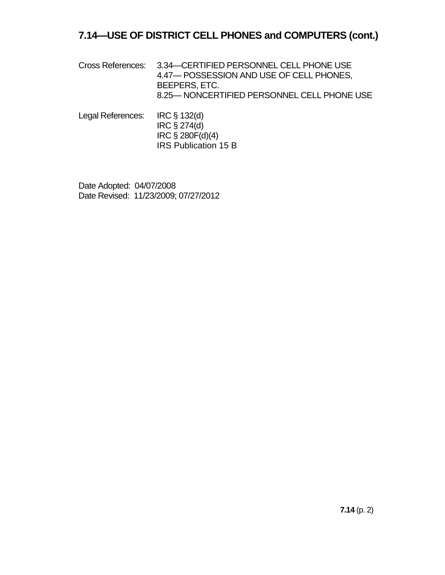### **7.14—USE OF DISTRICT CELL PHONES and COMPUTERS (cont.)**

- Cross References: 3.34—CERTIFIED PERSONNEL CELL PHONE USE 4.47— POSSESSION AND USE OF CELL PHONES, BEEPERS, ETC. 8.25— NONCERTIFIED PERSONNEL CELL PHONE USE
- Legal References: IRC § 132(d) IRC § 274(d) IRC § 280F(d)(4) IRS Publication 15 B

Date Adopted: 04/07/2008 Date Revised: 11/23/2009; 07/27/2012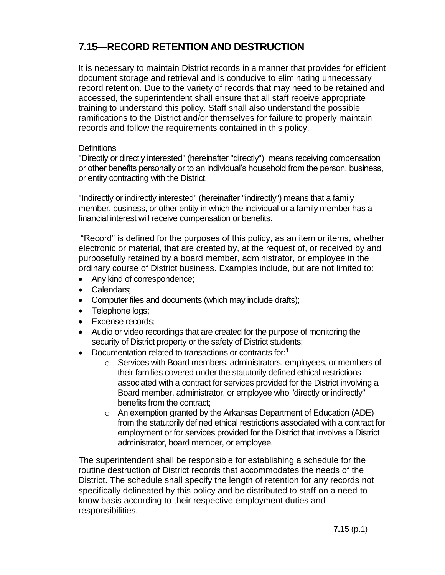# **7.15—RECORD RETENTION AND DESTRUCTION**

It is necessary to maintain District records in a manner that provides for efficient document storage and retrieval and is conducive to eliminating unnecessary record retention. Due to the variety of records that may need to be retained and accessed, the superintendent shall ensure that all staff receive appropriate training to understand this policy. Staff shall also understand the possible ramifications to the District and/or themselves for failure to properly maintain records and follow the requirements contained in this policy.

#### **Definitions**

"Directly or directly interested" (hereinafter "directly") means receiving compensation or other benefits personally or to an individual's household from the person, business, or entity contracting with the District.

"Indirectly or indirectly interested" (hereinafter "indirectly") means that a family member, business, or other entity in which the individual or a family member has a financial interest will receive compensation or benefits.

"Record" is defined for the purposes of this policy, as an item or items, whether electronic or material, that are created by, at the request of, or received by and purposefully retained by a board member, administrator, or employee in the ordinary course of District business. Examples include, but are not limited to:

- Any kind of correspondence;
- Calendars:
- Computer files and documents (which may include drafts);
- Telephone logs;
- Expense records;
- Audio or video recordings that are created for the purpose of monitoring the security of District property or the safety of District students;
- Documentation related to transactions or contracts for:**<sup>1</sup>**
	- $\circ$  Services with Board members, administrators, employees, or members of their families covered under the statutorily defined ethical restrictions associated with a contract for services provided for the District involving a Board member, administrator, or employee who "directly or indirectly" benefits from the contract;
	- o An exemption granted by the Arkansas Department of Education (ADE) from the statutorily defined ethical restrictions associated with a contract for employment or for services provided for the District that involves a District administrator, board member, or employee.

The superintendent shall be responsible for establishing a schedule for the routine destruction of District records that accommodates the needs of the District. The schedule shall specify the length of retention for any records not specifically delineated by this policy and be distributed to staff on a need-toknow basis according to their respective employment duties and responsibilities.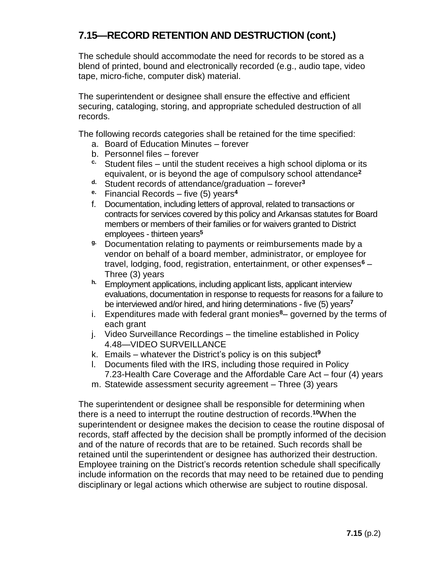The schedule should accommodate the need for records to be stored as a blend of printed, bound and electronically recorded (e.g., audio tape, video tape, micro-fiche, computer disk) material.

The superintendent or designee shall ensure the effective and efficient securing, cataloging, storing, and appropriate scheduled destruction of all records.

The following records categories shall be retained for the time specified:

- a. Board of Education Minutes forever
- b. Personnel files forever
- **c.** Student files until the student receives a high school diploma or its equivalent, or is beyond the age of compulsory school attendance**<sup>2</sup>**
- **d.** Student records of attendance/graduation forever**<sup>3</sup>**
- **e.** Financial Records five (5) years**<sup>4</sup>**
- f. Documentation, including letters of approval, related to transactions or contracts for services covered by this policy and Arkansas statutes for Board members or members of their families or for waivers granted to District employees - thirteen years**<sup>5</sup>**
- **g.** Documentation relating to payments or reimbursements made by a vendor on behalf of a board member, administrator, or employee for travel, lodging, food, registration, entertainment, or other expenses**<sup>6</sup>** – Three (3) years
- **h.** Employment applications, including applicant lists, applicant interview evaluations, documentation in response to requests for reasons for a failure to be interviewed and/or hired, and hiring determinations - five (5) years**<sup>7</sup>**
- i. Expenditures made with federal grant monies**<sup>8</sup>** governed by the terms of each grant
- j. Video Surveillance Recordings the timeline established in Policy 4.48—VIDEO SURVEILLANCE
- k. Emails whatever the District's policy is on this subject**<sup>9</sup>**
- l. Documents filed with the IRS, including those required in Policy 7.23-Health Care Coverage and the Affordable Care Act – four (4) years
- m. Statewide assessment security agreement Three (3) years

The superintendent or designee shall be responsible for determining when there is a need to interrupt the routine destruction of records. **<sup>10</sup>**When the superintendent or designee makes the decision to cease the routine disposal of records, staff affected by the decision shall be promptly informed of the decision and of the nature of records that are to be retained. Such records shall be retained until the superintendent or designee has authorized their destruction. Employee training on the District's records retention schedule shall specifically include information on the records that may need to be retained due to pending disciplinary or legal actions which otherwise are subject to routine disposal.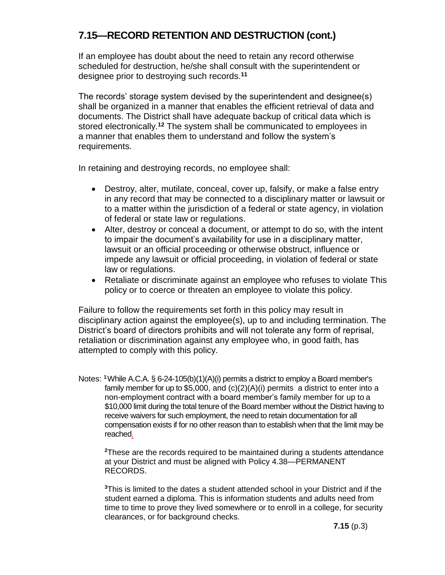If an employee has doubt about the need to retain any record otherwise scheduled for destruction, he/she shall consult with the superintendent or designee prior to destroying such records.**<sup>11</sup>**

The records' storage system devised by the superintendent and designee(s) shall be organized in a manner that enables the efficient retrieval of data and documents. The District shall have adequate backup of critical data which is stored electronically.**<sup>12</sup>** The system shall be communicated to employees in a manner that enables them to understand and follow the system's requirements.

In retaining and destroying records, no employee shall:

- Destroy, alter, mutilate, conceal, cover up, falsify, or make a false entry in any record that may be connected to a disciplinary matter or lawsuit or to a matter within the jurisdiction of a federal or state agency, in violation of federal or state law or regulations.
- Alter, destroy or conceal a document, or attempt to do so, with the intent to impair the document's availability for use in a disciplinary matter, lawsuit or an official proceeding or otherwise obstruct, influence or impede any lawsuit or official proceeding, in violation of federal or state law or regulations.
- Retaliate or discriminate against an employee who refuses to violate This policy or to coerce or threaten an employee to violate this policy.

Failure to follow the requirements set forth in this policy may result in disciplinary action against the employee(s), up to and including termination. The District's board of directors prohibits and will not tolerate any form of reprisal, retaliation or discrimination against any employee who, in good faith, has attempted to comply with this policy.

Notes: **<sup>1</sup>**While A.C.A. § 6-24-105(b)(1)(A)(i) permits a district to employ a Board member's family member for up to \$5,000, and  $(c)(2)(A)(i)$  permits a district to enter into a non-employment contract with a board member's family member for up to a \$10,000 limit during the total tenure of the Board member without the District having to receive waivers for such employment, the need to retain documentation for all compensation exists if for no other reason than to establish when that the limit may be reached.

**<sup>2</sup>**These are the records required to be maintained during a students attendance at your District and must be aligned with Policy 4.38—PERMANENT RECORDS.

**<sup>3</sup>**This is limited to the dates a student attended school in your District and if the student earned a diploma. This is information students and adults need from time to time to prove they lived somewhere or to enroll in a college, for security clearances, or for background checks.

**7.15** (p.3)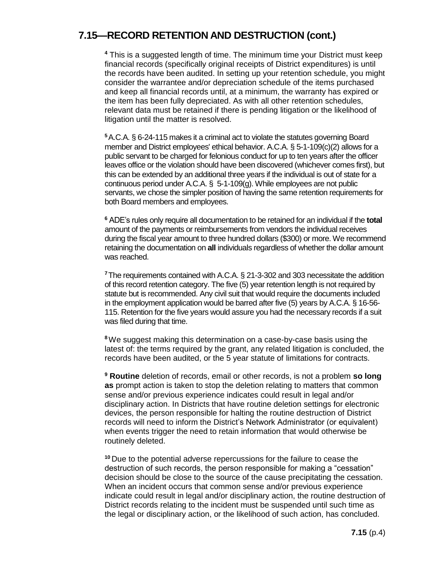**<sup>4</sup>** This is a suggested length of time. The minimum time your District must keep financial records (specifically original receipts of District expenditures) is until the records have been audited. In setting up your retention schedule, you might consider the warrantee and/or depreciation schedule of the items purchased and keep all financial records until, at a minimum, the warranty has expired or the item has been fully depreciated. As with all other retention schedules, relevant data must be retained if there is pending litigation or the likelihood of litigation until the matter is resolved.

**<sup>5</sup>**A.C.A. § 6-24-115 makes it a criminal act to violate the statutes governing Board member and District employees' ethical behavior. A.C.A. § 5-1-109(c)(2) allows for a public servant to be charged for felonious conduct for up to ten years after the officer leaves office or the violation should have been discovered (whichever comes first), but this can be extended by an additional three years if the individual is out of state for a continuous period under A.C.A. § 5-1-109(g). While employees are not public servants, we chose the simpler position of having the same retention requirements for both Board members and employees.

**<sup>6</sup>** ADE's rules only require all documentation to be retained for an individual if the **total** amount of the payments or reimbursements from vendors the individual receives during the fiscal year amount to three hundred dollars (\$300) or more. We recommend retaining the documentation on **all** individuals regardless of whether the dollar amount was reached.

**<sup>7</sup>**The requirements contained with A.C.A. § 21-3-302 and 303 necessitate the addition of this record retention category. The five (5) year retention length is not required by statute but is recommended. Any civil suit that would require the documents included in the employment application would be barred after five (5) years by A.C.A. § 16-56- 115. Retention for the five years would assure you had the necessary records if a suit was filed during that time.

**<sup>8</sup>**We suggest making this determination on a case-by-case basis using the latest of: the terms required by the grant, any related litigation is concluded, the records have been audited, or the 5 year statute of limitations for contracts.

**<sup>9</sup> Routine** deletion of records, email or other records, is not a problem **so long as** prompt action is taken to stop the deletion relating to matters that common sense and/or previous experience indicates could result in legal and/or disciplinary action. In Districts that have routine deletion settings for electronic devices, the person responsible for halting the routine destruction of District records will need to inform the District's Network Administrator (or equivalent) when events trigger the need to retain information that would otherwise be routinely deleted.

**<sup>10</sup>** Due to the potential adverse repercussions for the failure to cease the destruction of such records, the person responsible for making a "cessation" decision should be close to the source of the cause precipitating the cessation. When an incident occurs that common sense and/or previous experience indicate could result in legal and/or disciplinary action, the routine destruction of District records relating to the incident must be suspended until such time as the legal or disciplinary action, or the likelihood of such action, has concluded.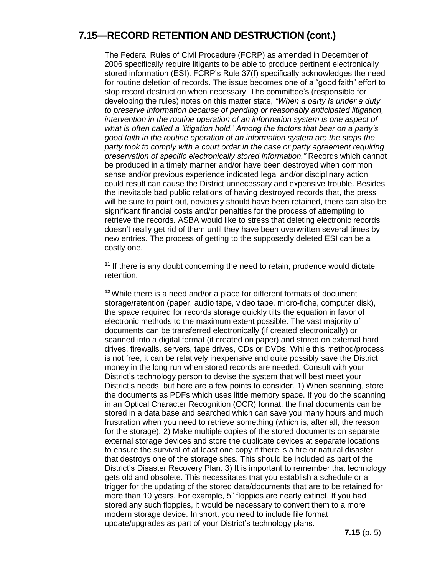The Federal Rules of Civil Procedure (FCRP) as amended in December of 2006 specifically require litigants to be able to produce pertinent electronically stored information (ESI). FCRP's Rule 37(f) specifically acknowledges the need for routine deletion of records. The issue becomes one of a "good faith" effort to stop record destruction when necessary. The committee's (responsible for developing the rules) notes on this matter state, *"When a party is under a duty to preserve information because of pending or reasonably anticipated litigation, intervention in the routine operation of an information system is one aspect of what is often called a 'litigation hold.' Among the factors that bear on a party's good faith in the routine operation of an information system are the steps the party took to comply with a court order in the case or party agreement requiring preservation of specific electronically stored information."* Records which cannot be produced in a timely manner and/or have been destroyed when common sense and/or previous experience indicated legal and/or disciplinary action could result can cause the District unnecessary and expensive trouble. Besides the inevitable bad public relations of having destroyed records that, the press will be sure to point out, obviously should have been retained, there can also be significant financial costs and/or penalties for the process of attempting to retrieve the records. ASBA would like to stress that deleting electronic records doesn't really get rid of them until they have been overwritten several times by new entries. The process of getting to the supposedly deleted ESI can be a costly one.

**<sup>11</sup>** If there is any doubt concerning the need to retain, prudence would dictate retention.

**<sup>12</sup>**While there is a need and/or a place for different formats of document storage/retention (paper, audio tape, video tape, micro-fiche, computer disk), the space required for records storage quickly tilts the equation in favor of electronic methods to the maximum extent possible. The vast majority of documents can be transferred electronically (if created electronically) or scanned into a digital format (if created on paper) and stored on external hard drives, firewalls, servers, tape drives, CDs or DVDs. While this method/process is not free, it can be relatively inexpensive and quite possibly save the District money in the long run when stored records are needed. Consult with your District's technology person to devise the system that will best meet your District's needs, but here are a few points to consider. 1) When scanning, store the documents as PDFs which uses little memory space. If you do the scanning in an Optical Character Recognition (OCR) format, the final documents can be stored in a data base and searched which can save you many hours and much frustration when you need to retrieve something (which is, after all, the reason for the storage). 2) Make multiple copies of the stored documents on separate external storage devices and store the duplicate devices at separate locations to ensure the survival of at least one copy if there is a fire or natural disaster that destroys one of the storage sites. This should be included as part of the District's Disaster Recovery Plan. 3) It is important to remember that technology gets old and obsolete. This necessitates that you establish a schedule or a trigger for the updating of the stored data/documents that are to be retained for more than 10 years. For example, 5" floppies are nearly extinct. If you had stored any such floppies, it would be necessary to convert them to a more modern storage device. In short, you need to include file format update/upgrades as part of your District's technology plans.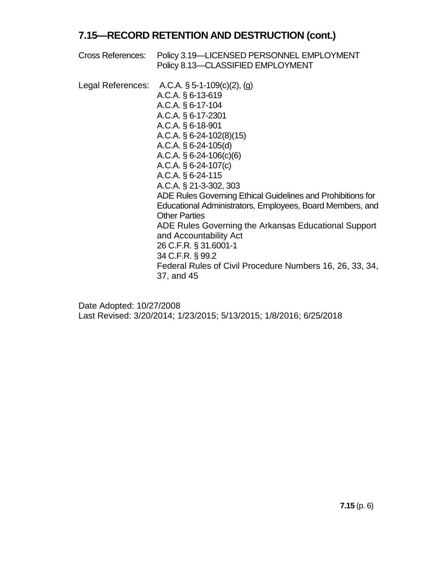| Cross References: | Policy 3.19-LICENSED PERSONNEL EMPLOYMENT<br>Policy 8.13-CLASSIFIED EMPLOYMENT                                                                                                                                                                                                                                                                                                                                                                                                                                                                                                                                                                                       |
|-------------------|----------------------------------------------------------------------------------------------------------------------------------------------------------------------------------------------------------------------------------------------------------------------------------------------------------------------------------------------------------------------------------------------------------------------------------------------------------------------------------------------------------------------------------------------------------------------------------------------------------------------------------------------------------------------|
|                   | Legal References: A.C.A. $\S$ 5-1-109(c)(2), (g)<br>A.C.A. § 6-13-619<br>A.C.A. § 6-17-104<br>A.C.A. § 6-17-2301<br>A.C.A. § 6-18-901<br>A.C.A. $\S$ 6-24-102(8)(15)<br>A.C.A. $\S$ 6-24-105(d)<br>A.C.A. $\S$ 6-24-106(c)(6)<br>A.C.A. $\S$ 6-24-107(c)<br>A.C.A. § 6-24-115<br>A.C.A. § 21-3-302, 303<br>ADE Rules Governing Ethical Guidelines and Prohibitions for<br>Educational Administrators, Employees, Board Members, and<br><b>Other Parties</b><br>ADE Rules Governing the Arkansas Educational Support<br>and Accountability Act<br>26 C.F.R. § 31.6001-1<br>34 C.F.R. § 99.2<br>Federal Rules of Civil Procedure Numbers 16, 26, 33, 34,<br>37, and 45 |

Date Adopted: 10/27/2008 Last Revised: 3/20/2014; 1/23/2015; 5/13/2015; 1/8/2016; 6/25/2018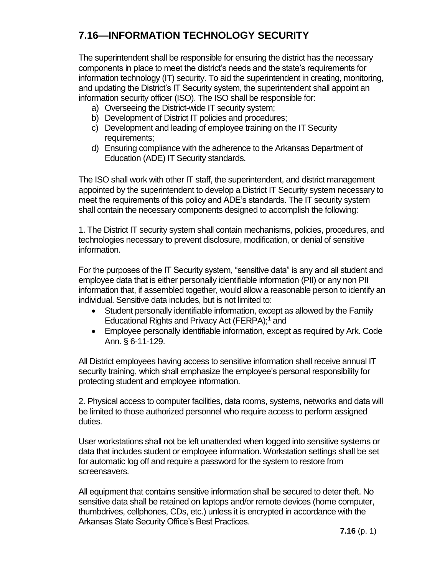# **7.16—INFORMATION TECHNOLOGY SECURITY**

The superintendent shall be responsible for ensuring the district has the necessary components in place to meet the district's needs and the state's requirements for information technology (IT) security. To aid the superintendent in creating, monitoring, and updating the District's IT Security system, the superintendent shall appoint an information security officer (ISO). The ISO shall be responsible for:

- a) Overseeing the District-wide IT security system;
- b) Development of District IT policies and procedures;
- c) Development and leading of employee training on the IT Security requirements;
- d) Ensuring compliance with the adherence to the Arkansas Department of Education (ADE) IT Security standards.

The ISO shall work with other IT staff, the superintendent, and district management appointed by the superintendent to develop a District IT Security system necessary to meet the requirements of this policy and ADE's standards. The IT security system shall contain the necessary components designed to accomplish the following:

1. The District IT security system shall contain mechanisms, policies, procedures, and technologies necessary to prevent disclosure, modification, or denial of sensitive information.

For the purposes of the IT Security system, "sensitive data" is any and all student and employee data that is either personally identifiable information (PII) or any non PII information that, if assembled together, would allow a reasonable person to identify an individual. Sensitive data includes, but is not limited to:

- Student personally identifiable information, except as allowed by the Family Educational Rights and Privacy Act (FERPA);**<sup>1</sup>** and
- Employee personally identifiable information, except as required by Ark. Code Ann. § 6-11-129.

All District employees having access to sensitive information shall receive annual IT security training, which shall emphasize the employee's personal responsibility for protecting student and employee information.

2. Physical access to computer facilities, data rooms, systems, networks and data will be limited to those authorized personnel who require access to perform assigned duties.

User workstations shall not be left unattended when logged into sensitive systems or data that includes student or employee information. Workstation settings shall be set for automatic log off and require a password for the system to restore from screensavers.

All equipment that contains sensitive information shall be secured to deter theft. No sensitive data shall be retained on laptops and/or remote devices (home computer, thumbdrives, cellphones, CDs, etc.) unless it is encrypted in accordance with the Arkansas State Security Office's Best Practices.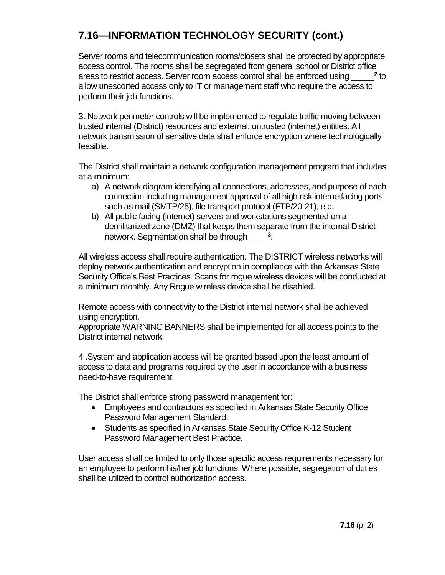Server rooms and telecommunication rooms/closets shall be protected by appropriate access control. The rooms shall be segregated from general school or District office areas to restrict access. Server room access control shall be enforced using \_\_\_\_\_**<sup>2</sup>**  $2$  to allow unescorted access only to IT or management staff who require the access to perform their job functions.

3. Network perimeter controls will be implemented to regulate traffic moving between trusted internal (District) resources and external, untrusted (internet) entities. All network transmission of sensitive data shall enforce encryption where technologically feasible.

The District shall maintain a network configuration management program that includes at a minimum:

- a) A network diagram identifying all connections, addresses, and purpose of each connection including management approval of all high risk internetfacing ports such as mail (SMTP/25), file transport protocol (FTP/20-21), etc.
- b) All public facing (internet) servers and workstations segmented on a demilitarized zone (DMZ) that keeps them separate from the internal District network. Segmentation shall be through \_\_\_\_**<sup>3</sup>** .

All wireless access shall require authentication. The DISTRICT wireless networks will deploy network authentication and encryption in compliance with the Arkansas State Security Office's Best Practices. Scans for rogue wireless devices will be conducted at a minimum monthly. Any Rogue wireless device shall be disabled.

Remote access with connectivity to the District internal network shall be achieved using encryption.

Appropriate WARNING BANNERS shall be implemented for all access points to the District internal network.

4 .System and application access will be granted based upon the least amount of access to data and programs required by the user in accordance with a business need-to-have requirement.

The District shall enforce strong password management for:

- Employees and contractors as specified in Arkansas State Security Office Password Management Standard.
- Students as specified in Arkansas State Security Office K-12 Student Password Management Best Practice.

User access shall be limited to only those specific access requirements necessary for an employee to perform his/her job functions. Where possible, segregation of duties shall be utilized to control authorization access.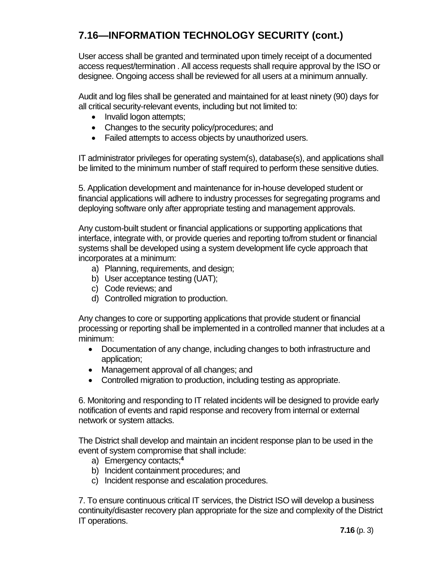User access shall be granted and terminated upon timely receipt of a documented access request/termination . All access requests shall require approval by the ISO or designee. Ongoing access shall be reviewed for all users at a minimum annually.

Audit and log files shall be generated and maintained for at least ninety (90) days for all critical security-relevant events, including but not limited to:

- Invalid logon attempts;
- Changes to the security policy/procedures; and
- Failed attempts to access objects by unauthorized users.

IT administrator privileges for operating system(s), database(s), and applications shall be limited to the minimum number of staff required to perform these sensitive duties.

5. Application development and maintenance for in-house developed student or financial applications will adhere to industry processes for segregating programs and deploying software only after appropriate testing and management approvals.

Any custom-built student or financial applications or supporting applications that interface, integrate with, or provide queries and reporting to/from student or financial systems shall be developed using a system development life cycle approach that incorporates at a minimum:

- a) Planning, requirements, and design;
- b) User acceptance testing (UAT);
- c) Code reviews; and
- d) Controlled migration to production.

Any changes to core or supporting applications that provide student or financial processing or reporting shall be implemented in a controlled manner that includes at a minimum:

- Documentation of any change, including changes to both infrastructure and application;
- Management approval of all changes; and
- Controlled migration to production, including testing as appropriate.

6. Monitoring and responding to IT related incidents will be designed to provide early notification of events and rapid response and recovery from internal or external network or system attacks.

The District shall develop and maintain an incident response plan to be used in the event of system compromise that shall include:

- a) Emergency contacts;**<sup>4</sup>**
- b) Incident containment procedures; and
- c) Incident response and escalation procedures.

7. To ensure continuous critical IT services, the District ISO will develop a business continuity/disaster recovery plan appropriate for the size and complexity of the District IT operations.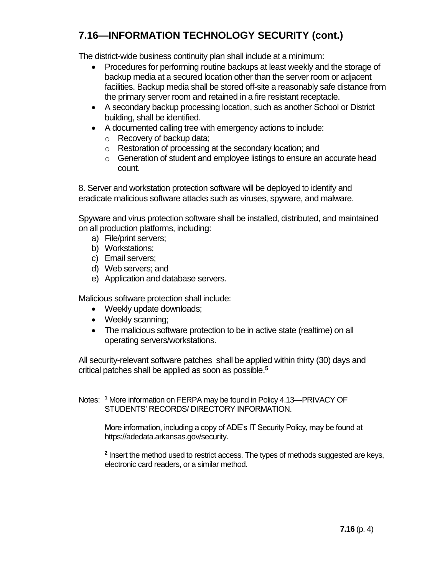The district-wide business continuity plan shall include at a minimum:

- Procedures for performing routine backups at least weekly and the storage of backup media at a secured location other than the server room or adjacent facilities. Backup media shall be stored off-site a reasonably safe distance from the primary server room and retained in a fire resistant receptacle.
- A secondary backup processing location, such as another School or District building, shall be identified.
- A documented calling tree with emergency actions to include:
	- o Recovery of backup data;
	- o Restoration of processing at the secondary location; and
	- o Generation of student and employee listings to ensure an accurate head count.

8. Server and workstation protection software will be deployed to identify and eradicate malicious software attacks such as viruses, spyware, and malware.

Spyware and virus protection software shall be installed, distributed, and maintained on all production platforms, including:

- a) File/print servers;
- b) Workstations;
- c) Email servers;
- d) Web servers; and
- e) Application and database servers.

Malicious software protection shall include:

- Weekly update downloads;
- Weekly scanning;
- The malicious software protection to be in active state (realtime) on all operating servers/workstations.

All security-relevant software patches shall be applied within thirty (30) days and critical patches shall be applied as soon as possible.**<sup>5</sup>**

Notes: **<sup>1</sup>** More information on FERPA may be found in Policy 4.13—PRIVACY OF STUDENTS' RECORDS/ DIRECTORY INFORMATION.

More information, including a copy of ADE's IT Security Policy, may be found at [https://adedata.arkansas.gov/security.](https://adedata.arkansas.gov/security)

**2** Insert the method used to restrict access. The types of methods suggested are keys, electronic card readers, or a similar method.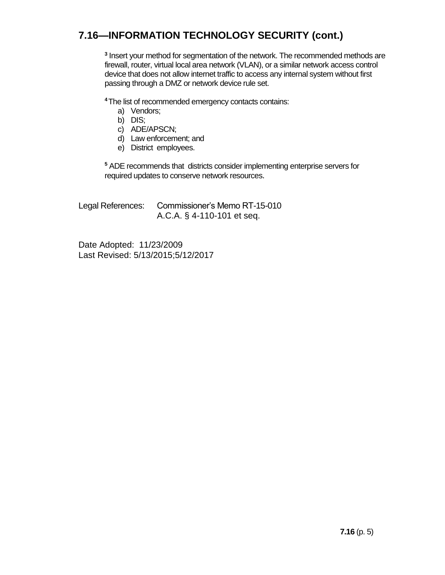**3** Insert your method for segmentation of the network. The recommended methods are firewall, router, virtual local area network (VLAN), or a similar network access control device that does not allow internet traffic to access any internal system without first passing through a DMZ or network device rule set.

**<sup>4</sup>**The list of recommended emergency contacts contains:

- a) Vendors;
- b) DIS;
- c) ADE/APSCN;
- d) Law enforcement; and
- e) District employees.

**<sup>5</sup>** ADE recommends that districts consider implementing enterprise servers for required updates to conserve network resources.

Legal References: Commissioner's Memo RT-15-010 A.C.A. § 4-110-101 et seq.

Date Adopted: 11/23/2009 Last Revised: 5/13/2015;5/12/2017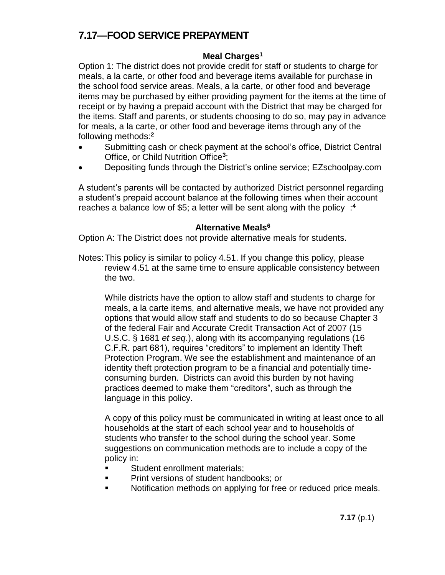# **7.17—FOOD SERVICE PREPAYMENT**

#### **Meal Charges<sup>1</sup>**

Option 1: The district does not provide credit for staff or students to charge for meals, a la carte, or other food and beverage items available for purchase in the school food service areas. Meals, a la carte, or other food and beverage items may be purchased by either providing payment for the items at the time of receipt or by having a prepaid account with the District that may be charged for the items. Staff and parents, or students choosing to do so, may pay in advance for meals, a la carte, or other food and beverage items through any of the following methods:**<sup>2</sup>**

- Submitting cash or check payment at the school's office, District Central Office, or Child Nutrition Office**<sup>3</sup>** ;
- Depositing funds through the District's online service; EZschoolpay.com

A student's parents will be contacted by authorized District personnel regarding a student's prepaid account balance at the following times when their account reaches a balance low of \$5; a letter will be sent along with the policy : **4**

#### **Alternative Meals<sup>6</sup>**

Option A: The District does not provide alternative meals for students.

Notes:This policy is similar to policy 4.51. If you change this policy, please review 4.51 at the same time to ensure applicable consistency between the two.

While districts have the option to allow staff and students to charge for meals, a la carte items, and alternative meals, we have not provided any options that would allow staff and students to do so because Chapter 3 of the federal Fair and Accurate Credit Transaction Act of 2007 (15 U.S.C. § 1681 *et seq*.), along with its accompanying regulations (16 C.F.R. part 681), requires "creditors" to implement an Identity Theft Protection Program. We see the establishment and maintenance of an identity theft protection program to be a financial and potentially timeconsuming burden. Districts can avoid this burden by not having practices deemed to make them "creditors", such as through the language in this policy.

A copy of this policy must be communicated in writing at least once to all households at the start of each school year and to households of students who transfer to the school during the school year. Some suggestions on communication methods are to include a copy of the policy in:

- Student enrollment materials;
- Print versions of student handbooks; or
- Notification methods on applying for free or reduced price meals.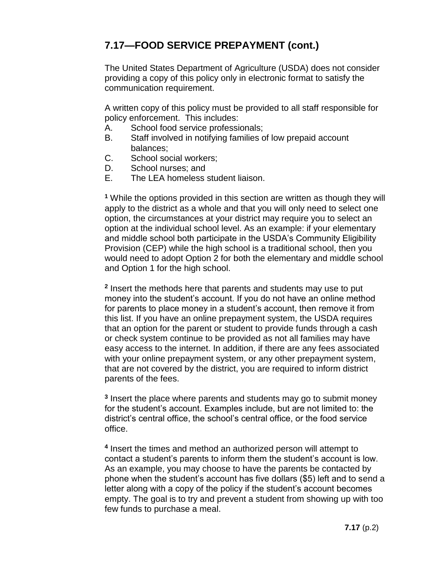# **7.17—FOOD SERVICE PREPAYMENT (cont.)**

The United States Department of Agriculture (USDA) does not consider providing a copy of this policy only in electronic format to satisfy the communication requirement.

A written copy of this policy must be provided to all staff responsible for policy enforcement. This includes:

- A. School food service professionals;
- B. Staff involved in notifying families of low prepaid account balances;
- C. School social workers;
- D. School nurses; and
- E. The LEA homeless student liaison.

**<sup>1</sup>** While the options provided in this section are written as though they will apply to the district as a whole and that you will only need to select one option, the circumstances at your district may require you to select an option at the individual school level. As an example: if your elementary and middle school both participate in the USDA's Community Eligibility Provision (CEP) while the high school is a traditional school, then you would need to adopt Option 2 for both the elementary and middle school and Option 1 for the high school.

**2** Insert the methods here that parents and students may use to put money into the student's account. If you do not have an online method for parents to place money in a student's account, then remove it from this list. If you have an online prepayment system, the USDA requires that an option for the parent or student to provide funds through a cash or check system continue to be provided as not all families may have easy access to the internet. In addition, if there are any fees associated with your online prepayment system, or any other prepayment system, that are not covered by the district, you are required to inform district parents of the fees.

**3** Insert the place where parents and students may go to submit money for the student's account. Examples include, but are not limited to: the district's central office, the school's central office, or the food service office.

**4** Insert the times and method an authorized person will attempt to contact a student's parents to inform them the student's account is low. As an example, you may choose to have the parents be contacted by phone when the student's account has five dollars (\$5) left and to send a letter along with a copy of the policy if the student's account becomes empty. The goal is to try and prevent a student from showing up with too few funds to purchase a meal.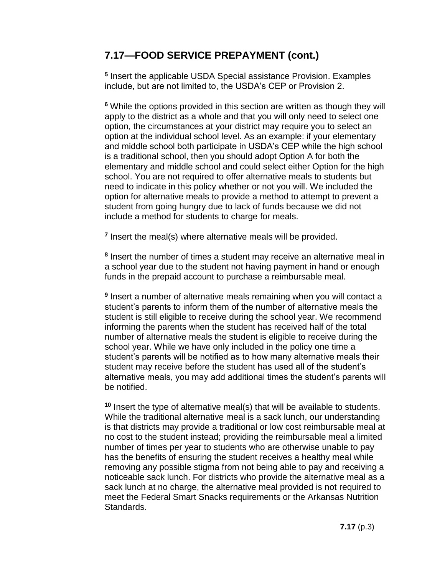# **7.17—FOOD SERVICE PREPAYMENT (cont.)**

**5** Insert the applicable USDA Special assistance Provision. Examples include, but are not limited to, the USDA's CEP or Provision 2.

**<sup>6</sup>** While the options provided in this section are written as though they will apply to the district as a whole and that you will only need to select one option, the circumstances at your district may require you to select an option at the individual school level. As an example: if your elementary and middle school both participate in USDA's CEP while the high school is a traditional school, then you should adopt Option A for both the elementary and middle school and could select either Option for the high school. You are not required to offer alternative meals to students but need to indicate in this policy whether or not you will. We included the option for alternative meals to provide a method to attempt to prevent a student from going hungry due to lack of funds because we did not include a method for students to charge for meals.

**7** Insert the meal(s) where alternative meals will be provided.

**8** Insert the number of times a student may receive an alternative meal in a school year due to the student not having payment in hand or enough funds in the prepaid account to purchase a reimbursable meal.

**9** Insert a number of alternative meals remaining when you will contact a student's parents to inform them of the number of alternative meals the student is still eligible to receive during the school year. We recommend informing the parents when the student has received half of the total number of alternative meals the student is eligible to receive during the school year. While we have only included in the policy one time a student's parents will be notified as to how many alternative meals their student may receive before the student has used all of the student's alternative meals, you may add additional times the student's parents will be notified.

**<sup>10</sup>** Insert the type of alternative meal(s) that will be available to students. While the traditional alternative meal is a sack lunch, our understanding is that districts may provide a traditional or low cost reimbursable meal at no cost to the student instead; providing the reimbursable meal a limited number of times per year to students who are otherwise unable to pay has the benefits of ensuring the student receives a healthy meal while removing any possible stigma from not being able to pay and receiving a noticeable sack lunch. For districts who provide the alternative meal as a sack lunch at no charge, the alternative meal provided is not required to meet the Federal Smart Snacks requirements or the Arkansas Nutrition Standards.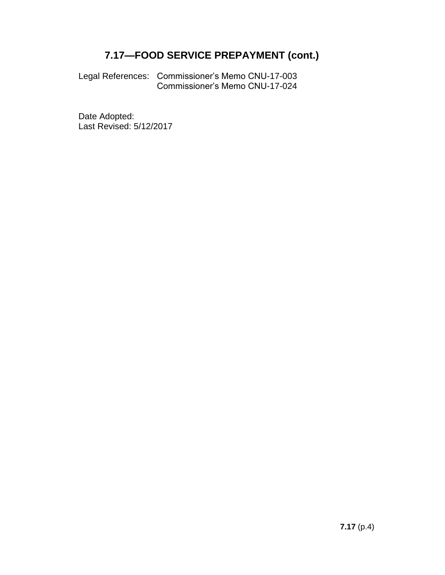# **7.17—FOOD SERVICE PREPAYMENT (cont.)**

Legal References: Commissioner's Memo CNU-17-003 Commissioner's Memo CNU-17-024

Date Adopted: Last Revised: 5/12/2017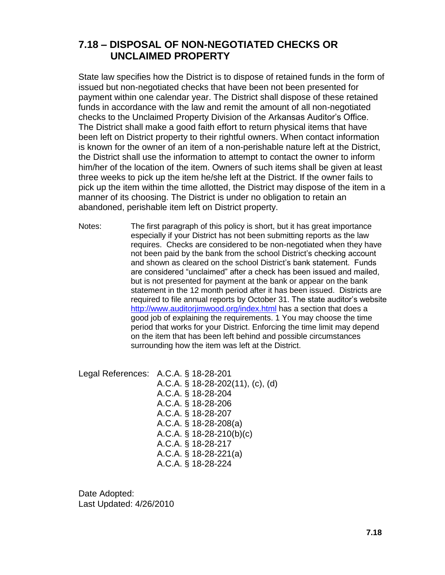### **7.18 – DISPOSAL OF NON-NEGOTIATED CHECKS OR UNCLAIMED PROPERTY**

State law specifies how the District is to dispose of retained funds in the form of issued but non-negotiated checks that have been not been presented for payment within one calendar year. The District shall dispose of these retained funds in accordance with the law and remit the amount of all non-negotiated checks to the Unclaimed Property Division of the Arkansas Auditor's Office. The District shall make a good faith effort to return physical items that have been left on District property to their rightful owners. When contact information is known for the owner of an item of a non-perishable nature left at the District, the District shall use the information to attempt to contact the owner to inform him/her of the location of the item. Owners of such items shall be given at least three weeks to pick up the item he/she left at the District. If the owner fails to pick up the item within the time allotted, the District may dispose of the item in a manner of its choosing. The District is under no obligation to retain an abandoned, perishable item left on District property.

Notes: The first paragraph of this policy is short, but it has great importance especially if your District has not been submitting reports as the law requires. Checks are considered to be non-negotiated when they have not been paid by the bank from the school District's checking account and shown as cleared on the school District's bank statement. Funds are considered "unclaimed" after a check has been issued and mailed, but is not presented for payment at the bank or appear on the bank statement in the 12 month period after it has been issued. Districts are required to file annual reports by October 31. The state auditor's website <http://www.auditorjimwood.org/index.html> has a section that does a good job of explaining the requirements. 1 You may choose the time period that works for your District. Enforcing the time limit may depend on the item that has been left behind and possible circumstances surrounding how the item was left at the District.

|  | Legal References: A.C.A. § 18-28-201 |
|--|--------------------------------------|
|  | A.C.A. $\S$ 18-28-202(11), (c), (d)  |
|  | A.C.A. § 18-28-204                   |
|  | A.C.A. § 18-28-206                   |
|  | A.C.A. § 18-28-207                   |
|  | A.C.A. § 18-28-208(a)                |
|  | A.C.A. $\S$ 18-28-210(b)(c)          |
|  | A.C.A. § 18-28-217                   |
|  | A.C.A. § 18-28-221(a)                |
|  | A.C.A. § 18-28-224                   |

Date Adopted: Last Updated: 4/26/2010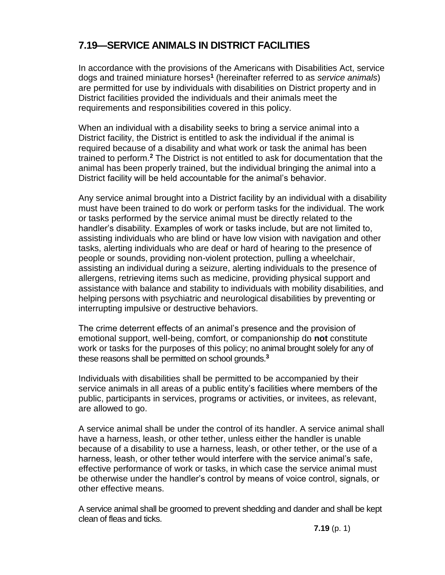# **7.19—SERVICE ANIMALS IN DISTRICT FACILITIES**

In accordance with the provisions of the Americans with Disabilities Act, service dogs and trained miniature horses**<sup>1</sup>** (hereinafter referred to as *service animals*) are permitted for use by individuals with disabilities on District property and in District facilities provided the individuals and their animals meet the requirements and responsibilities covered in this policy.

When an individual with a disability seeks to bring a service animal into a District facility, the District is entitled to ask the individual if the animal is required because of a disability and what work or task the animal has been trained to perform.**<sup>2</sup>** The District is not entitled to ask for documentation that the animal has been properly trained, but the individual bringing the animal into a District facility will be held accountable for the animal's behavior.

Any service animal brought into a District facility by an individual with a disability must have been trained to do work or perform tasks for the individual. The work or tasks performed by the service animal must be directly related to the handler's disability. Examples of work or tasks include, but are not limited to, assisting individuals who are blind or have low vision with navigation and other tasks, alerting individuals who are deaf or hard of hearing to the presence of people or sounds, providing non-violent protection, pulling a wheelchair, assisting an individual during a seizure, alerting individuals to the presence of allergens, retrieving items such as medicine, providing physical support and assistance with balance and stability to individuals with mobility disabilities, and helping persons with psychiatric and neurological disabilities by preventing or interrupting impulsive or destructive behaviors.

The crime deterrent effects of an animal's presence and the provision of emotional support, well-being, comfort, or companionship do **not** constitute work or tasks for the purposes of this policy; no animal brought solely for any of these reasons shall be permitted on school grounds.**<sup>3</sup>**

Individuals with disabilities shall be permitted to be accompanied by their service animals in all areas of a public entity's facilities where members of the public, participants in services, programs or activities, or invitees, as relevant, are allowed to go.

A service animal shall be under the control of its handler. A service animal shall have a harness, leash, or other tether, unless either the handler is unable because of a disability to use a harness, leash, or other tether, or the use of a harness, leash, or other tether would interfere with the service animal's safe, effective performance of work or tasks, in which case the service animal must be otherwise under the handler's control by means of voice control, signals, or other effective means.

A service animal shall be groomed to prevent shedding and dander and shall be kept clean of fleas and ticks.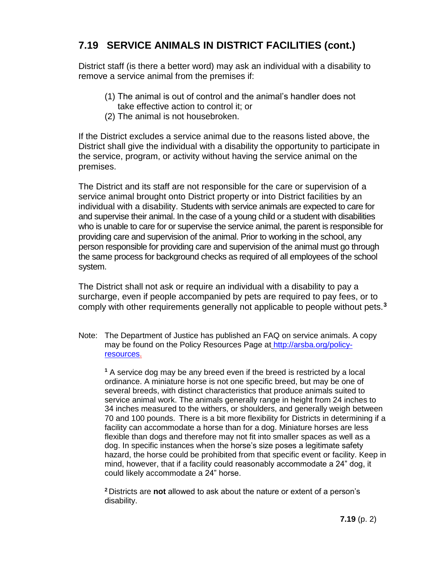# **7.19 SERVICE ANIMALS IN DISTRICT FACILITIES (cont.)**

District staff (is there a better word) may ask an individual with a disability to remove a service animal from the premises if:

- (1) The animal is out of control and the animal's handler does not take effective action to control it; or
- (2) The animal is not housebroken.

If the District excludes a service animal due to the reasons listed above, the District shall give the individual with a disability the opportunity to participate in the service, program, or activity without having the service animal on the premises.

The District and its staff are not responsible for the care or supervision of a service animal brought onto District property or into District facilities by an individual with a disability. Students with service animals are expected to care for and supervise their animal. In the case of a young child or a student with disabilities who is unable to care for or supervise the service animal, the parent is responsible for providing care and supervision of the animal. Prior to working in the school, any person responsible for providing care and supervision of the animal must go through the same process for background checks as required of all employees of the school system.

The District shall not ask or require an individual with a disability to pay a surcharge, even if people accompanied by pets are required to pay fees, or to comply with other requirements generally not applicable to people without pets.**<sup>3</sup>**

Note: The Department of Justice has published an FAQ on service animals. A copy may be found on the Policy Resources Page at [http://arsba.org/policy](http://arsba.org/policy-resources)[resources.](http://arsba.org/policy-resources)

**<sup>1</sup>** A service dog may be any breed even if the breed is restricted by a local ordinance. A miniature horse is not one specific breed, but may be one of several breeds, with distinct characteristics that produce animals suited to service animal work. The animals generally range in height from 24 inches to 34 inches measured to the withers, or shoulders, and generally weigh between 70 and 100 pounds. There is a bit more flexibility for Districts in determining if a facility can accommodate a horse than for a dog. Miniature horses are less flexible than dogs and therefore may not fit into smaller spaces as well as a dog. In specific instances when the horse's size poses a legitimate safety hazard, the horse could be prohibited from that specific event or facility. Keep in mind, however, that if a facility could reasonably accommodate a 24" dog, it could likely accommodate a 24" horse.

**<sup>2</sup>** Districts are **not** allowed to ask about the nature or extent of a person's disability.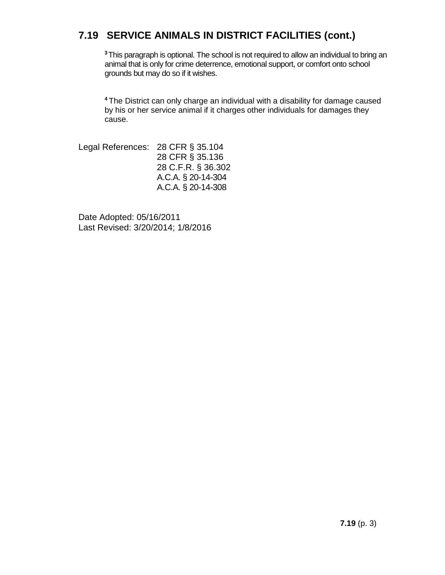### **7.19 SERVICE ANIMALS IN DISTRICT FACILITIES (cont.)**

**<sup>3</sup>**This paragraph is optional. The school is not required to allow an individual to bring an animal that is only for crime deterrence, emotional support, or comfort onto school grounds but may do so if it wishes.

**<sup>4</sup>** The District can only charge an individual with a disability for damage caused by his or her service animal if it charges other individuals for damages they cause.

Legal References: 28 CFR § 35.104 28 CFR § 35.136 28 C.F.R. § 36.302 A.C.A. § 20-14-304 A.C.A. § 20-14-308

Date Adopted: 05/16/2011 Last Revised: 3/20/2014; 1/8/2016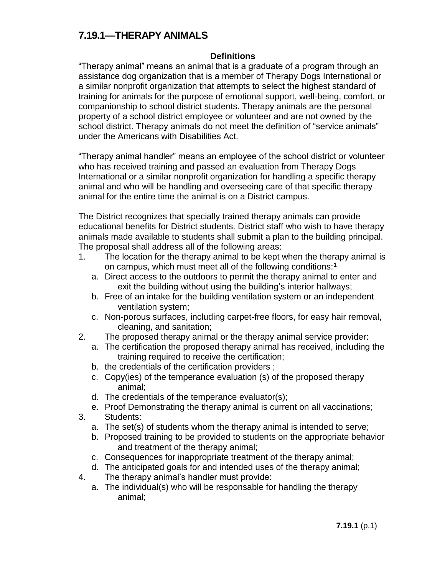### **7.19.1—THERAPY ANIMALS**

#### **Definitions**

"Therapy animal" means an animal that is a graduate of a program through an assistance dog organization that is a member of Therapy Dogs International or a similar nonprofit organization that attempts to select the highest standard of training for animals for the purpose of emotional support, well-being, comfort, or companionship to school district students. Therapy animals are the personal property of a school district employee or volunteer and are not owned by the school district. Therapy animals do not meet the definition of "service animals" under the Americans with Disabilities Act.

"Therapy animal handler" means an employee of the school district or volunteer who has received training and passed an evaluation from Therapy Dogs International or a similar nonprofit organization for handling a specific therapy animal and who will be handling and overseeing care of that specific therapy animal for the entire time the animal is on a District campus.

The District recognizes that specially trained therapy animals can provide educational benefits for District students. District staff who wish to have therapy animals made available to students shall submit a plan to the building principal. The proposal shall address all of the following areas:

- 1. The location for the therapy animal to be kept when the therapy animal is on campus, which must meet all of the following conditions:**<sup>1</sup>**
	- a. Direct access to the outdoors to permit the therapy animal to enter and exit the building without using the building's interior hallways;
	- b. Free of an intake for the building ventilation system or an independent ventilation system;
	- c. Non-porous surfaces, including carpet-free floors, for easy hair removal, cleaning, and sanitation;
- 2. The proposed therapy animal or the therapy animal service provider:
	- a. The certification the proposed therapy animal has received, including the training required to receive the certification;
	- b. the credentials of the certification providers ;
	- c. Copy(ies) of the temperance evaluation (s) of the proposed therapy animal;
	- d. The credentials of the temperance evaluator(s);
	- e. Proof Demonstrating the therapy animal is current on all vaccinations;
- 3. Students:
	- a. The set(s) of students whom the therapy animal is intended to serve;
	- b. Proposed training to be provided to students on the appropriate behavior and treatment of the therapy animal;
	- c. Consequences for inappropriate treatment of the therapy animal;
	- d. The anticipated goals for and intended uses of the therapy animal;
- 4. The therapy animal's handler must provide:
	- a. The individual(s) who will be responsable for handling the therapy animal;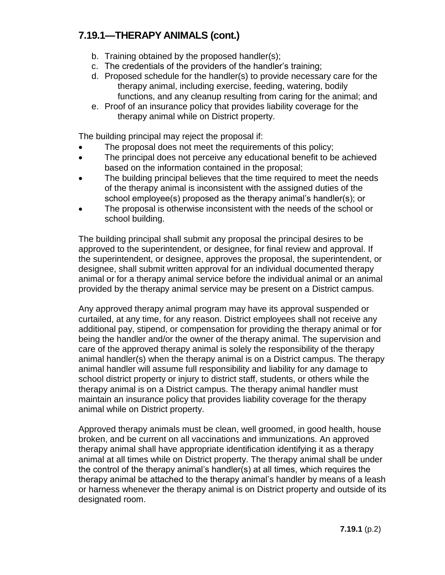# **7.19.1—THERAPY ANIMALS (cont.)**

- b. Training obtained by the proposed handler(s);
- c. The credentials of the providers of the handler's training;
- d. Proposed schedule for the handler(s) to provide necessary care for the therapy animal, including exercise, feeding, watering, bodily functions, and any cleanup resulting from caring for the animal; and
- e. Proof of an insurance policy that provides liability coverage for the therapy animal while on District property.

The building principal may reject the proposal if:

- The proposal does not meet the requirements of this policy;
- The principal does not perceive any educational benefit to be achieved based on the information contained in the proposal;
- The building principal believes that the time required to meet the needs of the therapy animal is inconsistent with the assigned duties of the school employee(s) proposed as the therapy animal's handler(s); or
- The proposal is otherwise inconsistent with the needs of the school or school building.

The building principal shall submit any proposal the principal desires to be approved to the superintendent, or designee, for final review and approval. If the superintendent, or designee, approves the proposal, the superintendent, or designee, shall submit written approval for an individual documented therapy animal or for a therapy animal service before the individual animal or an animal provided by the therapy animal service may be present on a District campus.

Any approved therapy animal program may have its approval suspended or curtailed, at any time, for any reason. District employees shall not receive any additional pay, stipend, or compensation for providing the therapy animal or for being the handler and/or the owner of the therapy animal. The supervision and care of the approved therapy animal is solely the responsibility of the therapy animal handler(s) when the therapy animal is on a District campus. The therapy animal handler will assume full responsibility and liability for any damage to school district property or injury to district staff, students, or others while the therapy animal is on a District campus. The therapy animal handler must maintain an insurance policy that provides liability coverage for the therapy animal while on District property.

Approved therapy animals must be clean, well groomed, in good health, house broken, and be current on all vaccinations and immunizations. An approved therapy animal shall have appropriate identification identifying it as a therapy animal at all times while on District property. The therapy animal shall be under the control of the therapy animal's handler(s) at all times, which requires the therapy animal be attached to the therapy animal's handler by means of a leash or harness whenever the therapy animal is on District property and outside of its designated room.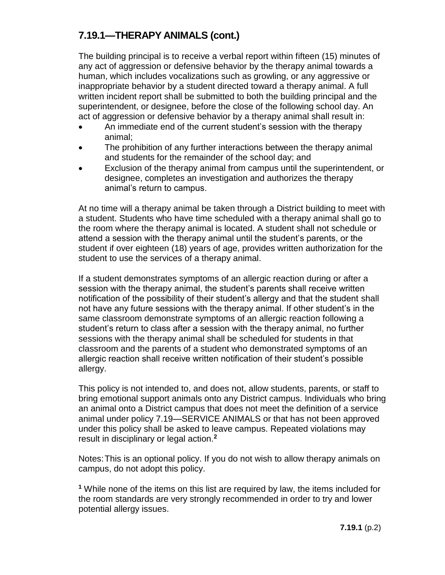# **7.19.1—THERAPY ANIMALS (cont.)**

The building principal is to receive a verbal report within fifteen (15) minutes of any act of aggression or defensive behavior by the therapy animal towards a human, which includes vocalizations such as growling, or any aggressive or inappropriate behavior by a student directed toward a therapy animal. A full written incident report shall be submitted to both the building principal and the superintendent, or designee, before the close of the following school day. An act of aggression or defensive behavior by a therapy animal shall result in:

- An immediate end of the current student's session with the therapy animal;
- The prohibition of any further interactions between the therapy animal and students for the remainder of the school day; and
- Exclusion of the therapy animal from campus until the superintendent, or designee, completes an investigation and authorizes the therapy animal's return to campus.

At no time will a therapy animal be taken through a District building to meet with a student. Students who have time scheduled with a therapy animal shall go to the room where the therapy animal is located. A student shall not schedule or attend a session with the therapy animal until the student's parents, or the student if over eighteen (18) years of age, provides written authorization for the student to use the services of a therapy animal.

If a student demonstrates symptoms of an allergic reaction during or after a session with the therapy animal, the student's parents shall receive written notification of the possibility of their student's allergy and that the student shall not have any future sessions with the therapy animal. If other student's in the same classroom demonstrate symptoms of an allergic reaction following a student's return to class after a session with the therapy animal, no further sessions with the therapy animal shall be scheduled for students in that classroom and the parents of a student who demonstrated symptoms of an allergic reaction shall receive written notification of their student's possible allergy.

This policy is not intended to, and does not, allow students, parents, or staff to bring emotional support animals onto any District campus. Individuals who bring an animal onto a District campus that does not meet the definition of a service animal under policy 7.19—SERVICE ANIMALS or that has not been approved under this policy shall be asked to leave campus. Repeated violations may result in disciplinary or legal action.**<sup>2</sup>**

Notes:This is an optional policy. If you do not wish to allow therapy animals on campus, do not adopt this policy.

**<sup>1</sup>** While none of the items on this list are required by law, the items included for the room standards are very strongly recommended in order to try and lower potential allergy issues.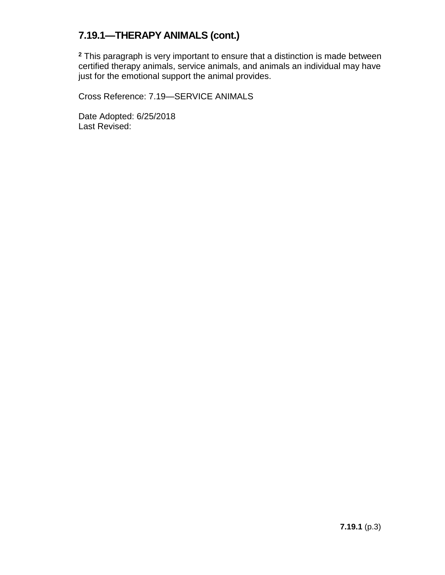### **7.19.1—THERAPY ANIMALS (cont.)**

**<sup>2</sup>** This paragraph is very important to ensure that a distinction is made between certified therapy animals, service animals, and animals an individual may have just for the emotional support the animal provides.

Cross Reference: 7.19—SERVICE ANIMALS

Date Adopted: 6/25/2018 Last Revised: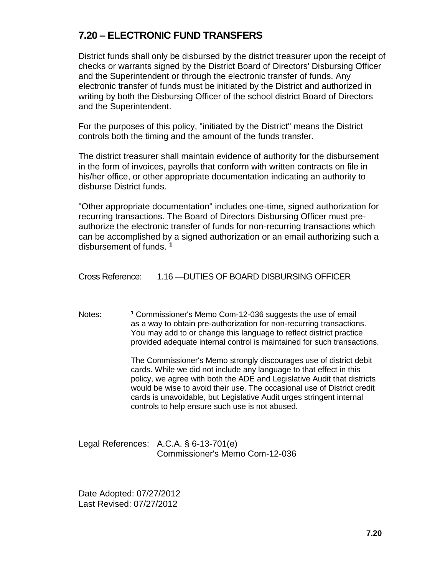### **7.20 – ELECTRONIC FUND TRANSFERS**

District funds shall only be disbursed by the district treasurer upon the receipt of checks or warrants signed by the District Board of Directors' Disbursing Officer and the Superintendent or through the electronic transfer of funds. Any electronic transfer of funds must be initiated by the District and authorized in writing by both the Disbursing Officer of the school district Board of Directors and the Superintendent.

For the purposes of this policy, "initiated by the District" means the District controls both the timing and the amount of the funds transfer.

The district treasurer shall maintain evidence of authority for the disbursement in the form of invoices, payrolls that conform with written contracts on file in his/her office, or other appropriate documentation indicating an authority to disburse District funds.

"Other appropriate documentation" includes one-time, signed authorization for recurring transactions. The Board of Directors Disbursing Officer must preauthorize the electronic transfer of funds for non-recurring transactions which can be accomplished by a signed authorization or an email authorizing such a disbursement of funds. **<sup>1</sup>**

Cross Reference: 1.16 —DUTIES OF BOARD DISBURSING OFFICER

Notes: **<sup>1</sup>** Commissioner's Memo Com-12-036 suggests the use of email as a way to obtain pre-authorization for non-recurring transactions. You may add to or change this language to reflect district practice provided adequate internal control is maintained for such transactions.

> The Commissioner's Memo strongly discourages use of district debit cards. While we did not include any language to that effect in this policy, we agree with both the ADE and Legislative Audit that districts would be wise to avoid their use. The occasional use of District credit cards is unavoidable, but Legislative Audit urges stringent internal controls to help ensure such use is not abused.

Legal References: A.C.A. § 6-13-701(e) Commissioner's Memo Com-12-036

Date Adopted: 07/27/2012 Last Revised: 07/27/2012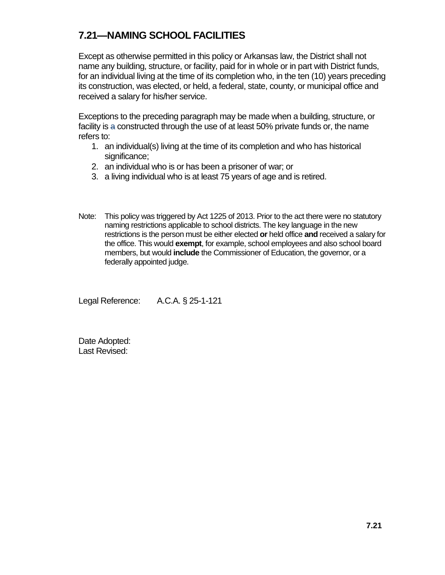# **7.21—NAMING SCHOOL FACILITIES**

Except as otherwise permitted in this policy or Arkansas law, the District shall not name any building, structure, or facility, paid for in whole or in part with District funds, for an individual living at the time of its completion who, in the ten (10) years preceding its construction, was elected, or held, a federal, state, county, or municipal office and received a salary for his/her service.

Exceptions to the preceding paragraph may be made when a building, structure, or facility is a constructed through the use of at least 50% private funds or, the name refers to:

- 1. an individual(s) living at the time of its completion and who has historical significance:
- 2. an individual who is or has been a prisoner of war; or
- 3. a living individual who is at least 75 years of age and is retired.
- Note: This policy was triggered by Act 1225 of 2013. Prior to the act there were no statutory naming restrictions applicable to school districts. The key language in the new restrictions is the person must be either elected **or** held office **and** received a salary for the office. This would **exempt**, for example, school employees and also school board members, but would **include** the Commissioner of Education, the governor, or a federally appointed judge.

Legal Reference: A.C.A. § 25-1-121

Date Adopted: Last Revised: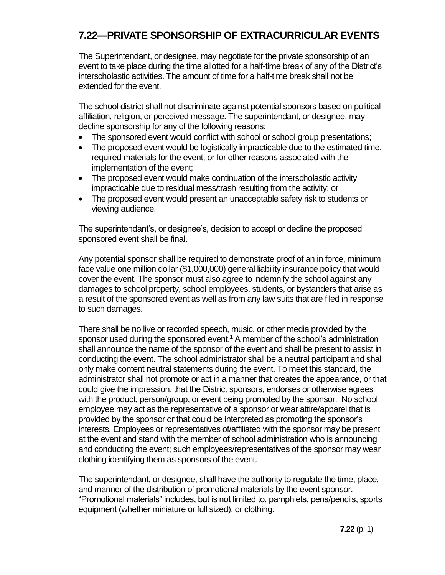## **7.22—PRIVATE SPONSORSHIP OF EXTRACURRICULAR EVENTS**

The Superintendant, or designee, may negotiate for the private sponsorship of an event to take place during the time allotted for a half-time break of any of the District's interscholastic activities. The amount of time for a half-time break shall not be extended for the event.

The school district shall not discriminate against potential sponsors based on political affiliation, religion, or perceived message. The superintendant, or designee, may decline sponsorship for any of the following reasons:

- The sponsored event would conflict with school or school group presentations;
- The proposed event would be logistically impracticable due to the estimated time, required materials for the event, or for other reasons associated with the implementation of the event;
- The proposed event would make continuation of the interscholastic activity impracticable due to residual mess/trash resulting from the activity; or
- The proposed event would present an unacceptable safety risk to students or viewing audience.

The superintendant's, or designee's, decision to accept or decline the proposed sponsored event shall be final.

Any potential sponsor shall be required to demonstrate proof of an in force, minimum face value one million dollar (\$1,000,000) general liability insurance policy that would cover the event. The sponsor must also agree to indemnify the school against any damages to school property, school employees, students, or bystanders that arise as a result of the sponsored event as well as from any law suits that are filed in response to such damages.

There shall be no live or recorded speech, music, or other media provided by the sponsor used during the sponsored event.<sup>1</sup> A member of the school's administration shall announce the name of the sponsor of the event and shall be present to assist in conducting the event. The school administrator shall be a neutral participant and shall only make content neutral statements during the event. To meet this standard, the administrator shall not promote or act in a manner that creates the appearance, or that could give the impression, that the District sponsors, endorses or otherwise agrees with the product, person/group, or event being promoted by the sponsor. No school employee may act as the representative of a sponsor or wear attire/apparel that is provided by the sponsor or that could be interpreted as promoting the sponsor's interests. Employees or representatives of/affiliated with the sponsor may be present at the event and stand with the member of school administration who is announcing and conducting the event; such employees/representatives of the sponsor may wear clothing identifying them as sponsors of the event.

The superintendant, or designee, shall have the authority to regulate the time, place, and manner of the distribution of promotional materials by the event sponsor. "Promotional materials" includes, but is not limited to, pamphlets, pens/pencils, sports equipment (whether miniature or full sized), or clothing.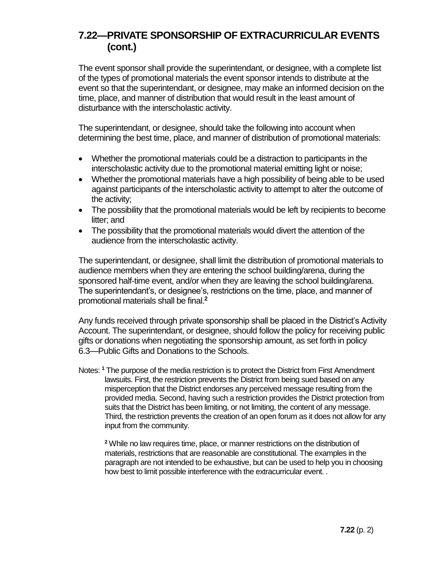# **7.22—PRIVATE SPONSORSHIP OF EXTRACURRICULAR EVENTS (cont.)**

The event sponsor shall provide the superintendant, or designee, with a complete list of the types of promotional materials the event sponsor intends to distribute at the event so that the superintendant, or designee, may make an informed decision on the time, place, and manner of distribution that would result in the least amount of disturbance with the interscholastic activity.

The superintendant, or designee, should take the following into account when determining the best time, place, and manner of distribution of promotional materials:

- Whether the promotional materials could be a distraction to participants in the interscholastic activity due to the promotional material emitting light or noise;
- Whether the promotional materials have a high possibility of being able to be used against participants of the interscholastic activity to attempt to alter the outcome of the activity;
- The possibility that the promotional materials would be left by recipients to become litter; and
- The possibility that the promotional materials would divert the attention of the audience from the interscholastic activity.

The superintendant, or designee, shall limit the distribution of promotional materials to audience members when they are entering the school building/arena, during the sponsored half-time event, and/or when they are leaving the school building/arena. The superintendant's, or designee's, restrictions on the time, place, and manner of promotional materials shall be final.**<sup>2</sup>**

Any funds received through private sponsorship shall be placed in the District's Activity Account. The superintendant, or designee, should follow the policy for receiving public gifts or donations when negotiating the sponsorship amount, as set forth in policy 6.3—Public Gifts and Donations to the Schools.

Notes: **<sup>1</sup>** The purpose of the media restriction is to protect the District from First Amendment lawsuits. First, the restriction prevents the District from being sued based on any misperception that the District endorses any perceived message resulting from the provided media. Second, having such a restriction provides the District protection from suits that the District has been limiting, or not limiting, the content of any message. Third, the restriction prevents the creation of an open forum as it does not allow for any input from the community.

**<sup>2</sup>** While no law requires time, place, or manner restrictions on the distribution of materials, restrictions that are reasonable are constitutional. The examples in the paragraph are not intended to be exhaustive, but can be used to help you in choosing how best to limit possible interference with the extracurricular event. .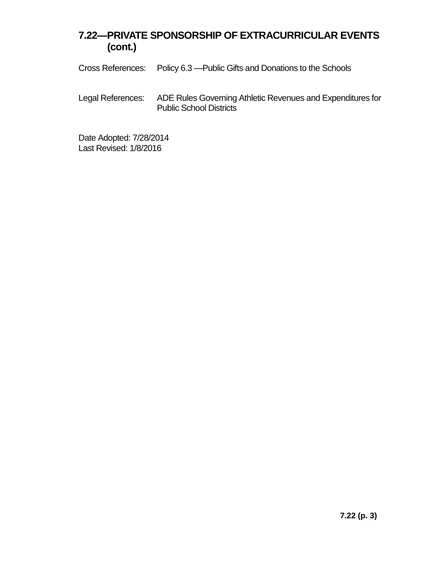# **7.22—PRIVATE SPONSORSHIP OF EXTRACURRICULAR EVENTS (cont.)**

Cross References: Policy 6.3 —Public Gifts and Donations to the Schools

Legal References: ADE Rules Governing Athletic Revenues and Expenditures for Public School Districts

Date Adopted: 7/28/2014 Last Revised: 1/8/2016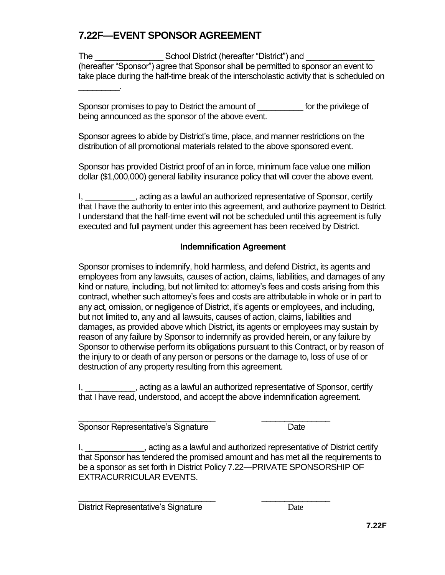# **7.22F—EVENT SPONSOR AGREEMENT**

The **Example 2 School District (hereafter "District") and** (hereafter "Sponsor") agree that Sponsor shall be permitted to sponsor an event to take place during the half-time break of the interscholastic activity that is scheduled on \_\_\_\_\_\_\_\_\_.

Sponsor promises to pay to District the amount of The privilege of the privilege of being announced as the sponsor of the above event.

Sponsor agrees to abide by District's time, place, and manner restrictions on the distribution of all promotional materials related to the above sponsored event.

Sponsor has provided District proof of an in force, minimum face value one million dollar (\$1,000,000) general liability insurance policy that will cover the above event.

I, acting as a lawful an authorized representative of Sponsor, certify that I have the authority to enter into this agreement, and authorize payment to District. I understand that the half-time event will not be scheduled until this agreement is fully executed and full payment under this agreement has been received by District.

#### **Indemnification Agreement**

Sponsor promises to indemnify, hold harmless, and defend District, its agents and employees from any lawsuits, causes of action, claims, liabilities, and damages of any kind or nature, including, but not limited to: attorney's fees and costs arising from this contract, whether such attorney's fees and costs are attributable in whole or in part to any act, omission, or negligence of District, it's agents or employees, and including, but not limited to, any and all lawsuits, causes of action, claims, liabilities and damages, as provided above which District, its agents or employees may sustain by reason of any failure by Sponsor to indemnify as provided herein, or any failure by Sponsor to otherwise perform its obligations pursuant to this Contract, or by reason of the injury to or death of any person or persons or the damage to, loss of use of or destruction of any property resulting from this agreement.

I, \_\_\_\_\_\_\_\_\_\_\_, acting as a lawful an authorized representative of Sponsor, certify that I have read, understood, and accept the above indemnification agreement.

\_\_\_\_\_\_\_\_\_\_\_\_\_\_\_\_\_\_\_\_\_\_\_\_\_\_\_\_\_\_ \_\_\_\_\_\_\_\_\_\_\_\_\_\_\_

\_\_\_\_\_\_\_\_\_\_\_\_\_\_\_\_\_\_\_\_\_\_\_\_\_\_\_\_\_\_ \_\_\_\_\_\_\_\_\_\_\_\_\_\_\_

Sponsor Representative's Signature **Example 2018** Date

I, **we construct as a lawful and authorized representative of District certify** that Sponsor has tendered the promised amount and has met all the requirements to be a sponsor as set forth in District Policy 7.22—PRIVATE SPONSORSHIP OF EXTRACURRICULAR EVENTS.

District Representative's Signature **District Representative's Signature** Date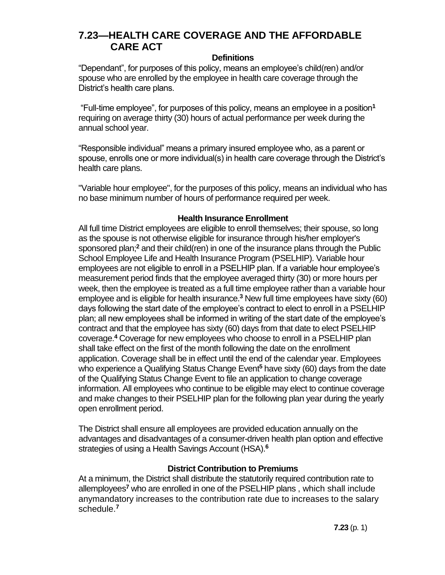#### **Definitions**

"Dependant", for purposes of this policy, means an employee's child(ren) and/or spouse who are enrolled by the employee in health care coverage through the District's health care plans.

"Full-time employee", for purposes of this policy, means an employee in a position**<sup>1</sup>** requiring on average thirty (30) hours of actual performance per week during the annual school year.

"Responsible individual" means a primary insured employee who, as a parent or spouse, enrolls one or more individual(s) in health care coverage through the District's health care plans.

"Variable hour employee", for the purposes of this policy, means an individual who has no base minimum number of hours of performance required per week.

#### **Health Insurance Enrollment**

All full time District employees are eligible to enroll themselves; their spouse, so long as the spouse is not otherwise eligible for insurance through his/her employer's sponsored plan;**<sup>2</sup>** and their child(ren) in one of the insurance plans through the Public School Employee Life and Health Insurance Program (PSELHIP). Variable hour employees are not eligible to enroll in a PSELHIP plan. If a variable hour employee's measurement period finds that the employee averaged thirty (30) or more hours per week, then the employee is treated as a full time employee rather than a variable hour employee and is eligible for health insurance.**<sup>3</sup>** New full time employees have sixty (60) days following the start date of the employee's contract to elect to enroll in a PSELHIP plan; all new employees shall be informed in writing of the start date of the employee's contract and that the employee has sixty (60) days from that date to elect PSELHIP coverage.**<sup>4</sup>** Coverage for new employees who choose to enroll in a PSELHIP plan shall take effect on the first of the month following the date on the enrollment application. Coverage shall be in effect until the end of the calendar year. Employees who experience a Qualifying Status Change Event**<sup>5</sup>** have sixty (60) days from the date of the Qualifying Status Change Event to file an application to change coverage information. All employees who continue to be eligible may elect to continue coverage and make changes to their PSELHIP plan for the following plan year during the yearly open enrollment period.

The District shall ensure all employees are provided education annually on the advantages and disadvantages of a consumer-driven health plan option and effective strategies of using a Health Savings Account (HSA).**<sup>6</sup>**

#### **District Contribution to Premiums**

At a minimum, the District shall distribute the statutorily required contribution rate to allemployees**<sup>7</sup>** who are enrolled in one of the PSELHIP plans , which shall include anymandatory increases to the contribution rate due to increases to the salary schedule.**<sup>7</sup>**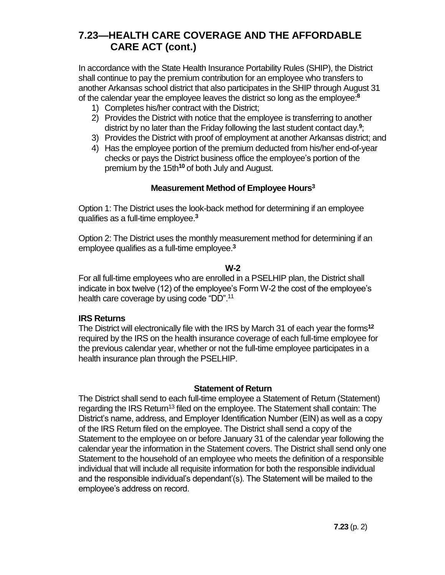In accordance with the State Health Insurance Portability Rules (SHIP), the District shall continue to pay the premium contribution for an employee who transfers to another Arkansas school district that also participates in the SHIP through August 31 of the calendar year the employee leaves the district so long as the employee:**<sup>8</sup>**

- 1) Completes his/her contract with the District;
- 2) Provides the District with notice that the employee is transferring to another district by no later than the Friday following the last student contact day.**<sup>9</sup>** ;
- 3) Provides the District with proof of employment at another Arkansas district; and
- 4) Has the employee portion of the premium deducted from his/her end-of-year checks or pays the District business office the employee's portion of the premium by the 15th**<sup>10</sup>** of both July and August.

#### **Measurement Method of Employee Hours<sup>3</sup>**

Option 1: The District uses the look-back method for determining if an employee qualifies as a full-time employee.**<sup>3</sup>**

Option 2: The District uses the monthly measurement method for determining if an employee qualifies as a full-time employee.**<sup>3</sup>**

#### **W-2**

For all full-time employees who are enrolled in a PSELHIP plan, the District shall indicate in box twelve (12) of the employee's Form W-2 the cost of the employee's health care coverage by using code "DD".<sup>11</sup>

#### **IRS Returns**

The District will electronically file with the IRS by March 31 of each year the forms**<sup>12</sup>** required by the IRS on the health insurance coverage of each full-time employee for the previous calendar year, whether or not the full-time employee participates in a health insurance plan through the PSELHIP.

#### **Statement of Return**

The District shall send to each full-time employee a Statement of Return (Statement) regarding the IRS Return<sup>13</sup> filed on the employee. The Statement shall contain: The District's name, address, and Employer Identification Number (EIN) as well as a copy of the IRS Return filed on the employee. The District shall send a copy of the Statement to the employee on or before January 31 of the calendar year following the calendar year the information in the Statement covers. The District shall send only one Statement to the household of an employee who meets the definition of a responsible individual that will include all requisite information for both the responsible individual and the responsible individual's dependant'(s). The Statement will be mailed to the employee's address on record.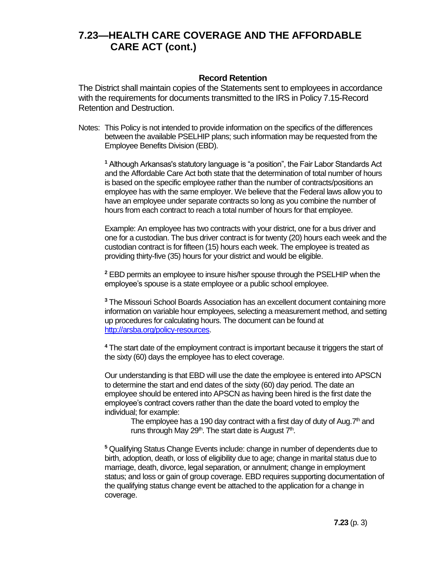#### **Record Retention**

The District shall maintain copies of the Statements sent to employees in accordance with the requirements for documents transmitted to the IRS in Policy 7.15-Record Retention and Destruction.

Notes: This Policy is not intended to provide information on the specifics of the differences between the available PSELHIP plans; such information may be requested from the Employee Benefits Division (EBD).

**<sup>1</sup>** Although Arkansas's statutory language is "a position", the Fair Labor Standards Act and the Affordable Care Act both state that the determination of total number of hours is based on the specific employee rather than the number of contracts/positions an employee has with the same employer. We believe that the Federal laws allow you to have an employee under separate contracts so long as you combine the number of hours from each contract to reach a total number of hours for that employee.

Example: An employee has two contracts with your district, one for a bus driver and one for a custodian. The bus driver contract is for twenty (20) hours each week and the custodian contract is for fifteen (15) hours each week. The employee is treated as providing thirty-five (35) hours for your district and would be eligible.

**<sup>2</sup>** EBD permits an employee to insure his/her spouse through the PSELHIP when the employee's spouse is a state employee or a public school employee.

**<sup>3</sup>** The Missouri School Boards Association has an excellent document containing more information on variable hour employees, selecting a measurement method, and setting up procedures for calculating hours. The document can be found at [http://arsba.org/policy-resources.](http://arsba.org/policy-resources)

**<sup>4</sup>** The start date of the employment contract is important because it triggers the start of the sixty (60) days the employee has to elect coverage.

Our understanding is that EBD will use the date the employee is entered into APSCN to determine the start and end dates of the sixty (60) day period. The date an employee should be entered into APSCN as having been hired is the first date the employee's contract covers rather than the date the board voted to employ the individual; for example:

The employee has a 190 day contract with a first day of duty of Aug.  $7<sup>th</sup>$  and runs through May 29<sup>th</sup>. The start date is August 7<sup>th</sup>.

**<sup>5</sup>** Qualifying Status Change Events include: change in number of dependents due to birth, adoption, death, or loss of eligibility due to age; change in marital status due to marriage, death, divorce, legal separation, or annulment; change in employment status; and loss or gain of group coverage. EBD requires supporting documentation of the qualifying status change event be attached to the application for a change in coverage.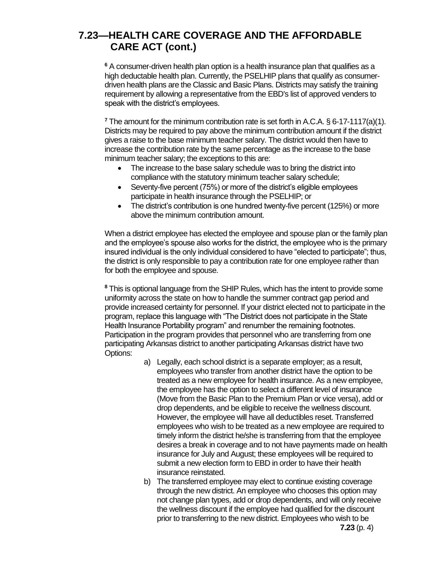**<sup>6</sup>** A consumer-driven health plan option is a health insurance plan that qualifies as a high deductable health plan. Currently, the PSELHIP plans that qualify as consumerdriven health plans are the Classic and Basic Plans. Districts may satisfy the training requirement by allowing a representative from the EBD's list of approved venders to speak with the district's employees.

**<sup>7</sup>** The amount for the minimum contribution rate is set forth in A.C.A. § 6-17-1117(a)(1). Districts may be required to pay above the minimum contribution amount if the district gives a raise to the base minimum teacher salary. The district would then have to increase the contribution rate by the same percentage as the increase to the base minimum teacher salary; the exceptions to this are:

- The increase to the base salary schedule was to bring the district into compliance with the statutory minimum teacher salary schedule;
- Seventy-five percent (75%) or more of the district's eligible employees participate in health insurance through the PSELHIP; or
- The district's contribution is one hundred twenty-five percent (125%) or more above the minimum contribution amount.

When a district employee has elected the employee and spouse plan or the family plan and the employee's spouse also works for the district, the employee who is the primary insured individual is the only individual considered to have "elected to participate"; thus, the district is only responsible to pay a contribution rate for one employee rather than for both the employee and spouse.

**<sup>8</sup>** This is optional language from the SHIP Rules, which has the intent to provide some uniformity across the state on how to handle the summer contract gap period and provide increased certainty for personnel. If your district elected not to participate in the program, replace this language with "The District does not participate in the State Health Insurance Portability program" and renumber the remaining footnotes. Participation in the program provides that personnel who are transferring from one participating Arkansas district to another participating Arkansas district have two Options:

- a) Legally, each school district is a separate employer; as a result, employees who transfer from another district have the option to be treated as a new employee for health insurance. As a new employee, the employee has the option to select a different level of insurance (Move from the Basic Plan to the Premium Plan or vice versa), add or drop dependents, and be eligible to receive the wellness discount. However, the employee will have all deductibles reset. Transferred employees who wish to be treated as a new employee are required to timely inform the district he/she is transferring from that the employee desires a break in coverage and to not have payments made on health insurance for July and August; these employees will be required to submit a new election form to EBD in order to have their health insurance reinstated.
- b) The transferred employee may elect to continue existing coverage through the new district. An employee who chooses this option may not change plan types, add or drop dependents, and will only receive the wellness discount if the employee had qualified for the discount prior to transferring to the new district. Employees who wish to be **7.23** (p. 4)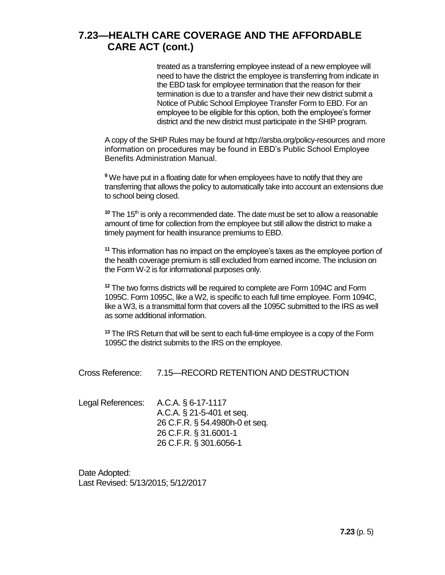treated as a transferring employee instead of a new employee will need to have the district the employee is transferring from indicate in the EBD task for employee termination that the reason for their termination is due to a transfer and have their new district submit a Notice of Public School Employee Transfer Form to EBD. For an employee to be eligible for this option, both the employee's former district and the new district must participate in the SHIP program.

A copy of the SHIP Rules may be found a[t http://arsba.org/policy-resources](http://arsba.org/policy-resources) and more information on procedures may be found in EBD's Public School Employee Benefits Administration Manual.

**<sup>9</sup>** We have put in a floating date for when employees have to notify that they are transferring that allows the policy to automatically take into account an extensions due to school being closed.

<sup>10</sup> The 15<sup>th</sup> is only a recommended date. The date must be set to allow a reasonable amount of time for collection from the employee but still allow the district to make a timely payment for health insurance premiums to EBD.

**<sup>11</sup>** This information has no impact on the employee's taxes as the employee portion of the health coverage premium is still excluded from earned income. The inclusion on the Form W-2 is for informational purposes only.

**<sup>12</sup>** The two forms districts will be required to complete are Form 1094C and Form 1095C. Form 1095C, like a W2, is specific to each full time employee. Form 1094C, like a W3, is a transmittal form that covers all the 1095C submitted to the IRS as well as some additional information.

**<sup>13</sup>** The IRS Return that will be sent to each full-time employee is a copy of the Form 1095C the district submits to the IRS on the employee.

Cross Reference: 7.15—RECORD RETENTION AND DESTRUCTION

Legal References: A.C.A. § 6-17-1117 A.C.A. § 21-5-401 et seq. 26 C.F.R. § 54.4980h-0 et seq. 26 C.F.R. § 31.6001-1 26 C.F.R. § 301.6056-1

Date Adopted: Last Revised: 5/13/2015; 5/12/2017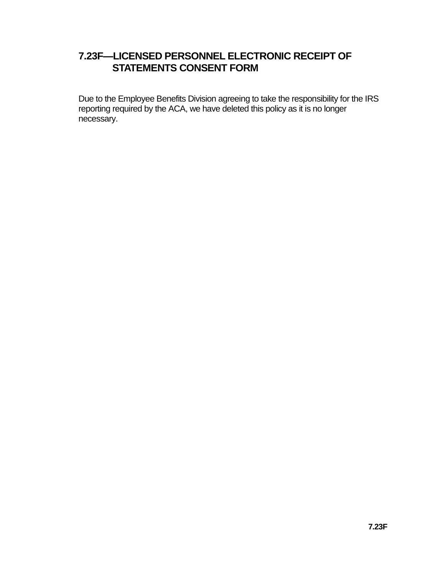#### **7.23F—LICENSED PERSONNEL ELECTRONIC RECEIPT OF STATEMENTS CONSENT FORM**

Due to the Employee Benefits Division agreeing to take the responsibility for the IRS reporting required by the ACA, we have deleted this policy as it is no longer necessary.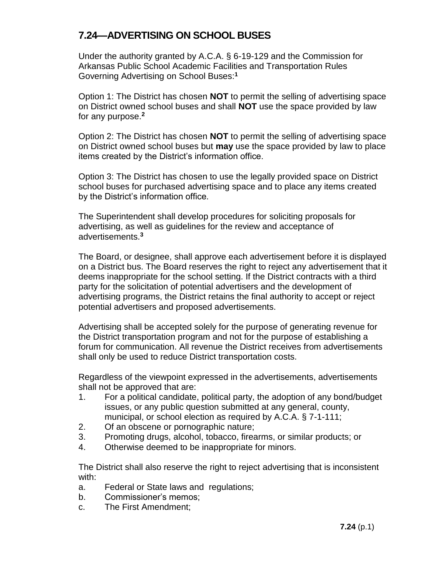### **7.24—ADVERTISING ON SCHOOL BUSES**

Under the authority granted by A.C.A. § 6-19-129 and the Commission for Arkansas Public School Academic Facilities and Transportation Rules Governing Advertising on School Buses:**<sup>1</sup>**

Option 1: The District has chosen **NOT** to permit the selling of advertising space on District owned school buses and shall **NOT** use the space provided by law for any purpose.**<sup>2</sup>**

Option 2: The District has chosen **NOT** to permit the selling of advertising space on District owned school buses but **may** use the space provided by law to place items created by the District's information office.

Option 3: The District has chosen to use the legally provided space on District school buses for purchased advertising space and to place any items created by the District's information office.

The Superintendent shall develop procedures for soliciting proposals for advertising, as well as guidelines for the review and acceptance of advertisements.**<sup>3</sup>**

The Board, or designee, shall approve each advertisement before it is displayed on a District bus. The Board reserves the right to reject any advertisement that it deems inappropriate for the school setting. If the District contracts with a third party for the solicitation of potential advertisers and the development of advertising programs, the District retains the final authority to accept or reject potential advertisers and proposed advertisements.

Advertising shall be accepted solely for the purpose of generating revenue for the District transportation program and not for the purpose of establishing a forum for communication. All revenue the District receives from advertisements shall only be used to reduce District transportation costs.

Regardless of the viewpoint expressed in the advertisements, advertisements shall not be approved that are:

- 1. For a political candidate, political party, the adoption of any bond/budget issues, or any public question submitted at any general, county, municipal, or school election as required by A.C.A. § 7-1-111;
- 2. Of an obscene or pornographic nature;
- 3. Promoting drugs, alcohol, tobacco, firearms, or similar products; or
- 4. Otherwise deemed to be inappropriate for minors.

The District shall also reserve the right to reject advertising that is inconsistent with:

- a. Federal or State laws and regulations;
- b. Commissioner's memos;
- c. The First Amendment;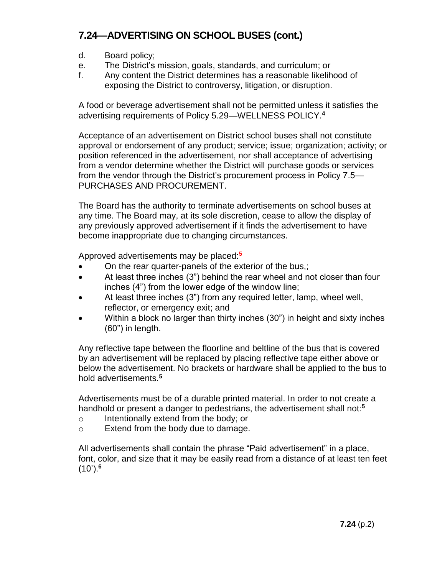# **7.24—ADVERTISING ON SCHOOL BUSES (cont.)**

- d. Board policy;
- e. The District's mission, goals, standards, and curriculum; or
- f. Any content the District determines has a reasonable likelihood of exposing the District to controversy, litigation, or disruption.

A food or beverage advertisement shall not be permitted unless it satisfies the advertising requirements of Policy 5.29—WELLNESS POLICY.**<sup>4</sup>**

Acceptance of an advertisement on District school buses shall not constitute approval or endorsement of any product; service; issue; organization; activity; or position referenced in the advertisement, nor shall acceptance of advertising from a vendor determine whether the District will purchase goods or services from the vendor through the District's procurement process in Policy 7.5— PURCHASES AND PROCUREMENT.

The Board has the authority to terminate advertisements on school buses at any time. The Board may, at its sole discretion, cease to allow the display of any previously approved advertisement if it finds the advertisement to have become inappropriate due to changing circumstances.

Approved advertisements may be placed:**<sup>5</sup>**

- On the rear quarter-panels of the exterior of the bus,;
- At least three inches (3") behind the rear wheel and not closer than four inches (4") from the lower edge of the window line;
- At least three inches (3") from any required letter, lamp, wheel well, reflector, or emergency exit; and
- Within a block no larger than thirty inches (30") in height and sixty inches (60") in length.

Any reflective tape between the floorline and beltline of the bus that is covered by an advertisement will be replaced by placing reflective tape either above or below the advertisement. No brackets or hardware shall be applied to the bus to hold advertisements.**<sup>5</sup>**

Advertisements must be of a durable printed material. In order to not create a handhold or present a danger to pedestrians, the advertisement shall not:**<sup>5</sup>**

- o Intentionally extend from the body; or
- o Extend from the body due to damage.

All advertisements shall contain the phrase "Paid advertisement" in a place, font, color, and size that it may be easily read from a distance of at least ten feet (10').**<sup>6</sup>**